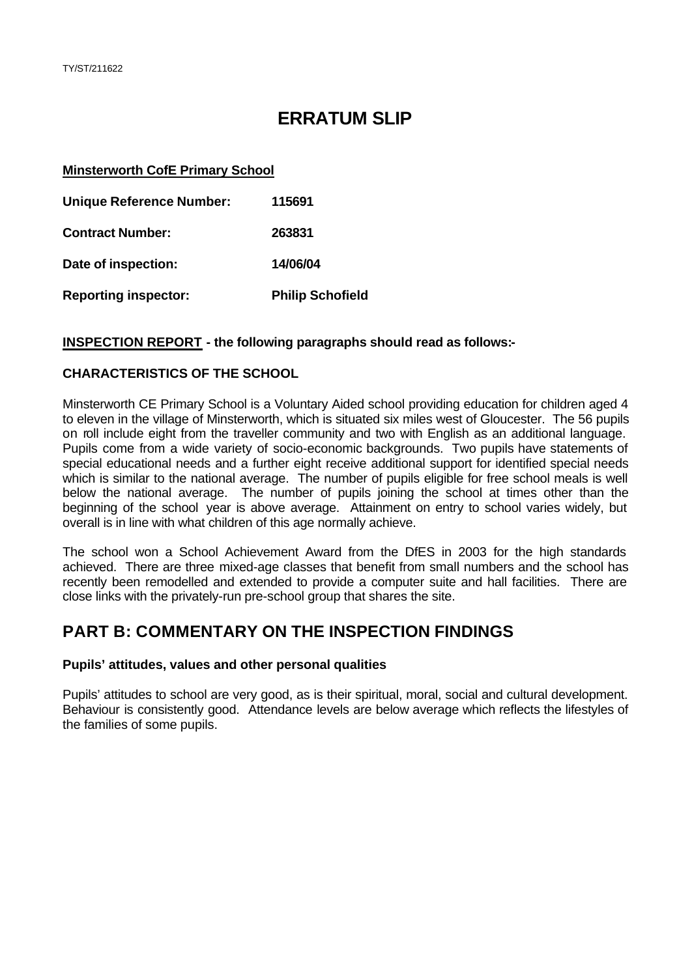# **ERRATUM SLIP**

#### **Minsterworth CofE Primary School**

| <b>Unique Reference Number:</b> | 115691                  |
|---------------------------------|-------------------------|
| <b>Contract Number:</b>         | 263831                  |
| Date of inspection:             | 14/06/04                |
| <b>Reporting inspector:</b>     | <b>Philip Schofield</b> |

## **INSPECTION REPORT - the following paragraphs should read as follows:-**

## **CHARACTERISTICS OF THE SCHOOL**

Minsterworth CE Primary School is a Voluntary Aided school providing education for children aged 4 to eleven in the village of Minsterworth, which is situated six miles west of Gloucester. The 56 pupils on roll include eight from the traveller community and two with English as an additional language. Pupils come from a wide variety of socio-economic backgrounds. Two pupils have statements of special educational needs and a further eight receive additional support for identified special needs which is similar to the national average. The number of pupils eligible for free school meals is well below the national average. The number of pupils joining the school at times other than the beginning of the school year is above average. Attainment on entry to school varies widely, but overall is in line with what children of this age normally achieve.

The school won a School Achievement Award from the DfES in 2003 for the high standards achieved. There are three mixed-age classes that benefit from small numbers and the school has recently been remodelled and extended to provide a computer suite and hall facilities. There are close links with the privately-run pre-school group that shares the site.

## **PART B: COMMENTARY ON THE INSPECTION FINDINGS**

#### **Pupils' attitudes, values and other personal qualities**

Pupils' attitudes to school are very good, as is their spiritual, moral, social and cultural development. Behaviour is consistently good. Attendance levels are below average which reflects the lifestyles of the families of some pupils.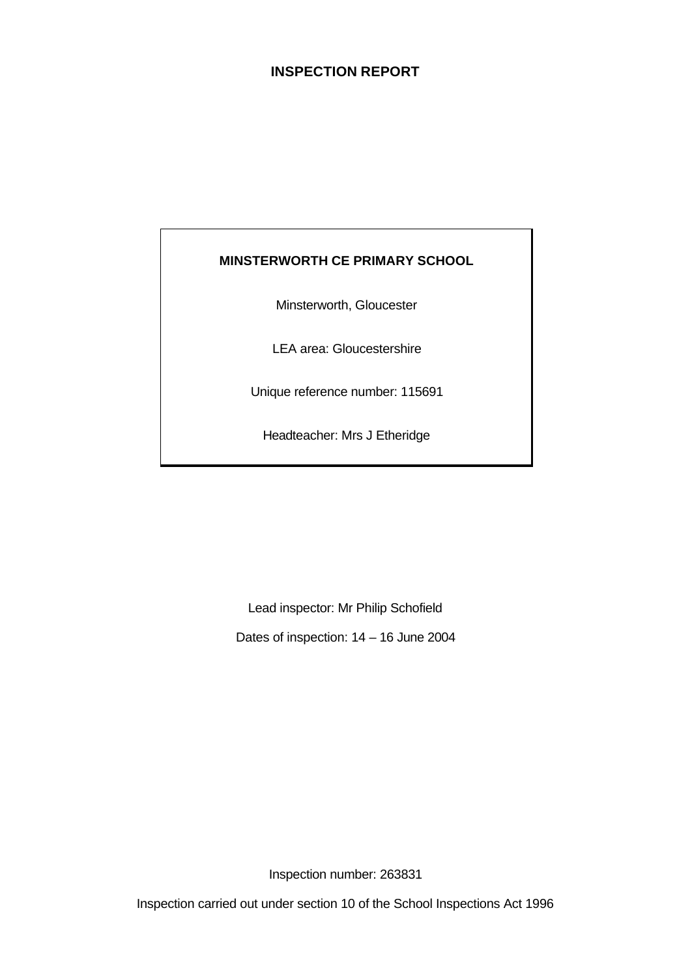## **INSPECTION REPORT**

## **MINSTERWORTH CE PRIMARY SCHOOL**

Minsterworth, Gloucester

LEA area: Gloucestershire

Unique reference number: 115691

Headteacher: Mrs J Etheridge

Lead inspector: Mr Philip Schofield

Dates of inspection: 14 – 16 June 2004

Inspection number: 263831

Inspection carried out under section 10 of the School Inspections Act 1996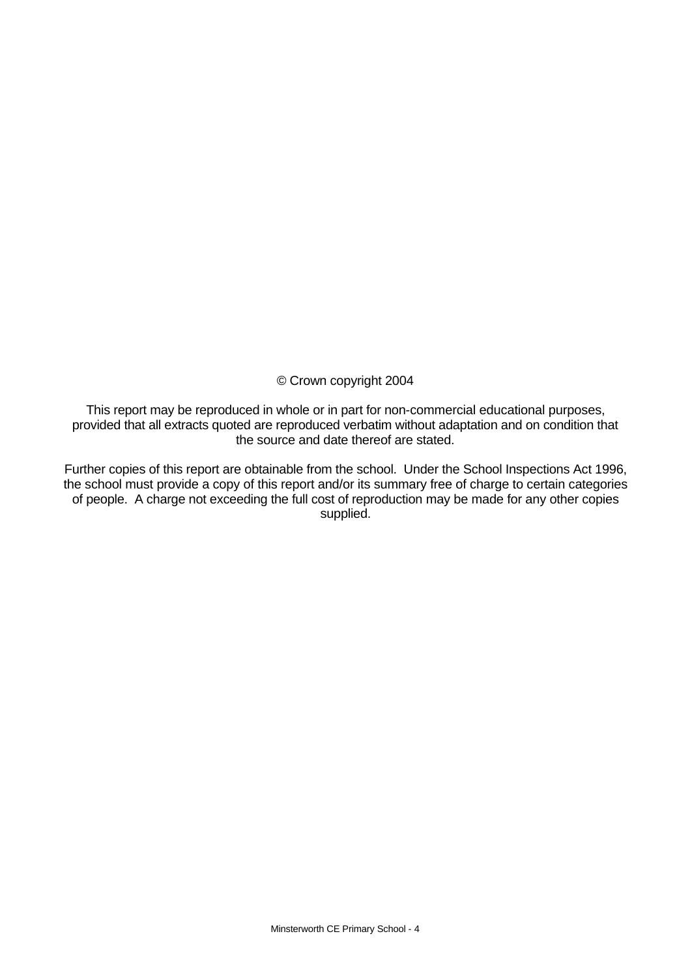© Crown copyright 2004

This report may be reproduced in whole or in part for non-commercial educational purposes, provided that all extracts quoted are reproduced verbatim without adaptation and on condition that the source and date thereof are stated.

Further copies of this report are obtainable from the school. Under the School Inspections Act 1996, the school must provide a copy of this report and/or its summary free of charge to certain categories of people. A charge not exceeding the full cost of reproduction may be made for any other copies supplied.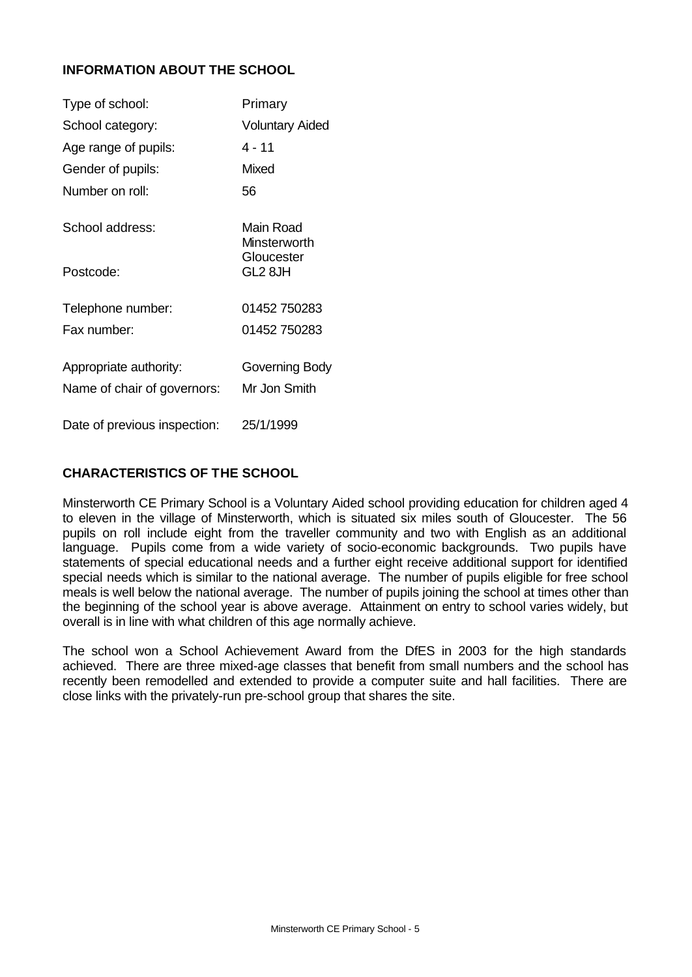## **INFORMATION ABOUT THE SCHOOL**

| Type of school:              | Primary                   |
|------------------------------|---------------------------|
| School category:             | <b>Voluntary Aided</b>    |
| Age range of pupils:         | 4 - 11                    |
| Gender of pupils:            | Mixed                     |
| Number on roll:              | 56                        |
| School address:              | Main Road<br>Minsterworth |
| Postcode:                    | Gloucester<br>GL2 8JH     |
| Telephone number:            | 01452 750283              |
| Fax number:                  | 01452 750283              |
| Appropriate authority:       | Governing Body            |
| Name of chair of governors:  | Mr Jon Smith              |
| Date of previous inspection: | 25/1/1999                 |

## **CHARACTERISTICS OF THE SCHOOL**

Minsterworth CE Primary School is a Voluntary Aided school providing education for children aged 4 to eleven in the village of Minsterworth, which is situated six miles south of Gloucester. The 56 pupils on roll include eight from the traveller community and two with English as an additional language. Pupils come from a wide variety of socio-economic backgrounds. Two pupils have statements of special educational needs and a further eight receive additional support for identified special needs which is similar to the national average. The number of pupils eligible for free school meals is well below the national average. The number of pupils joining the school at times other than the beginning of the school year is above average. Attainment on entry to school varies widely, but overall is in line with what children of this age normally achieve.

The school won a School Achievement Award from the DfES in 2003 for the high standards achieved. There are three mixed-age classes that benefit from small numbers and the school has recently been remodelled and extended to provide a computer suite and hall facilities. There are close links with the privately-run pre-school group that shares the site.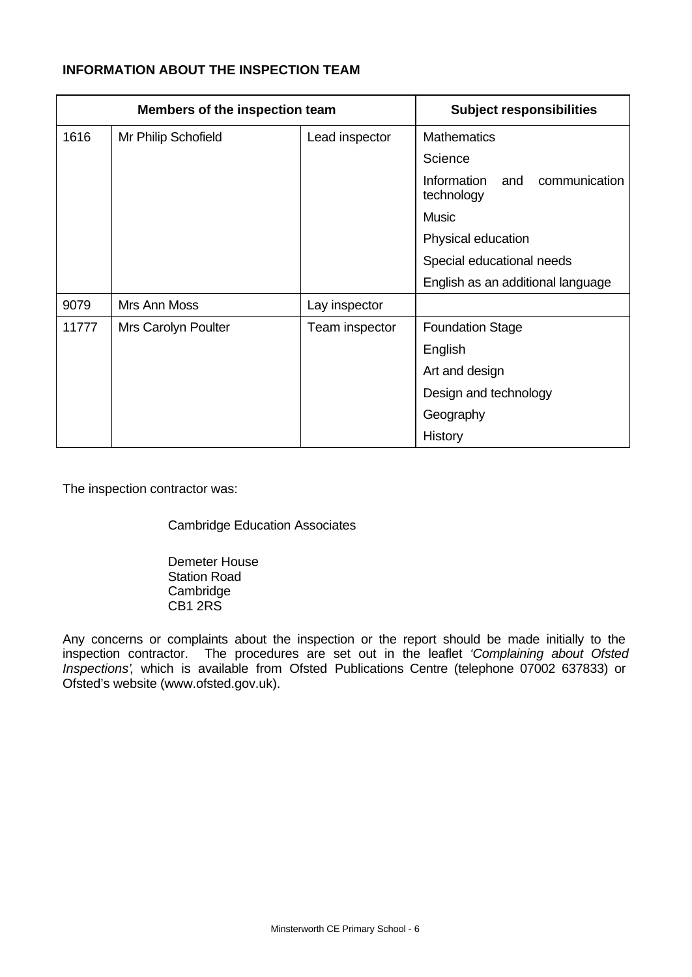## **INFORMATION ABOUT THE INSPECTION TEAM**

| Members of the inspection team |                            | <b>Subject responsibilities</b> |                                                   |
|--------------------------------|----------------------------|---------------------------------|---------------------------------------------------|
| 1616                           | Mr Philip Schofield        | Lead inspector                  | <b>Mathematics</b>                                |
|                                |                            |                                 | Science                                           |
|                                |                            |                                 | communication<br>Information<br>and<br>technology |
|                                |                            |                                 | <b>Music</b>                                      |
|                                |                            |                                 | Physical education                                |
|                                |                            |                                 | Special educational needs                         |
|                                |                            |                                 | English as an additional language                 |
| 9079                           | Mrs Ann Moss               | Lay inspector                   |                                                   |
| 11777                          | <b>Mrs Carolyn Poulter</b> | Team inspector                  | <b>Foundation Stage</b>                           |
|                                |                            |                                 | English                                           |
|                                |                            |                                 | Art and design                                    |
|                                |                            |                                 | Design and technology                             |
|                                |                            |                                 | Geography                                         |
|                                |                            |                                 | History                                           |

The inspection contractor was:

Cambridge Education Associates

Demeter House Station Road **Cambridge** CB1 2RS

Any concerns or complaints about the inspection or the report should be made initially to the inspection contractor. The procedures are set out in the leaflet *'Complaining about Ofsted Inspections'*, which is available from Ofsted Publications Centre (telephone 07002 637833) or Ofsted's website (www.ofsted.gov.uk).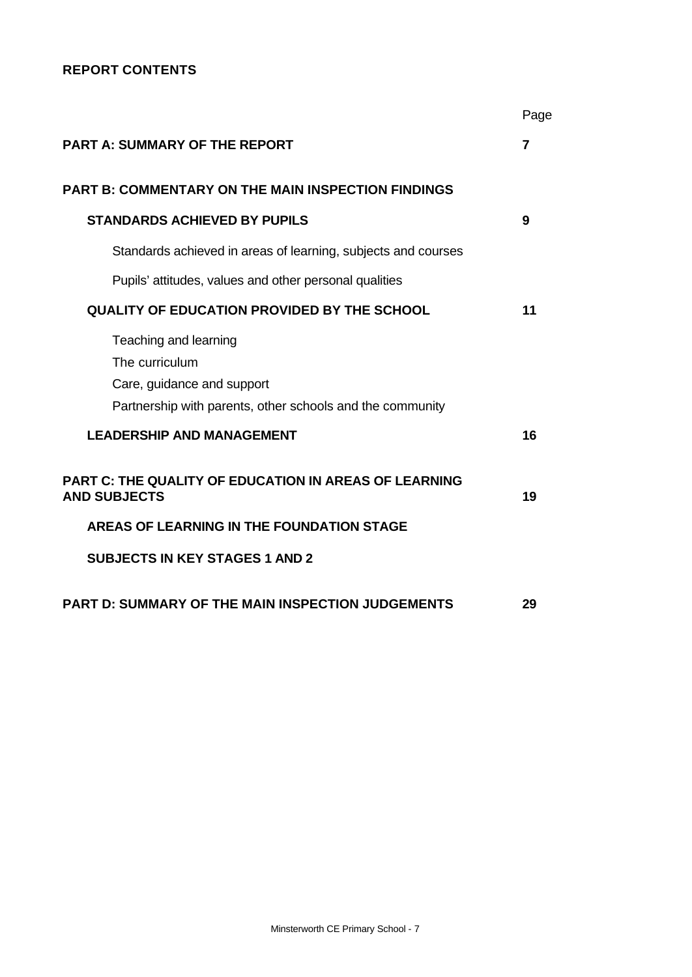## **REPORT CONTENTS**

|                                                                                                                                    | Page |
|------------------------------------------------------------------------------------------------------------------------------------|------|
| <b>PART A: SUMMARY OF THE REPORT</b>                                                                                               | 7    |
| <b>PART B: COMMENTARY ON THE MAIN INSPECTION FINDINGS</b>                                                                          |      |
| <b>STANDARDS ACHIEVED BY PUPILS</b>                                                                                                | 9    |
| Standards achieved in areas of learning, subjects and courses                                                                      |      |
| Pupils' attitudes, values and other personal qualities                                                                             |      |
| <b>QUALITY OF EDUCATION PROVIDED BY THE SCHOOL</b>                                                                                 | 11   |
| Teaching and learning<br>The curriculum<br>Care, guidance and support<br>Partnership with parents, other schools and the community |      |
| <b>LEADERSHIP AND MANAGEMENT</b>                                                                                                   | 16   |
| <b>PART C: THE QUALITY OF EDUCATION IN AREAS OF LEARNING</b><br><b>AND SUBJECTS</b>                                                | 19   |
| AREAS OF LEARNING IN THE FOUNDATION STAGE                                                                                          |      |
| <b>SUBJECTS IN KEY STAGES 1 AND 2</b>                                                                                              |      |
| PART D: SUMMARY OF THE MAIN INSPECTION JUDGEMENTS                                                                                  | 29   |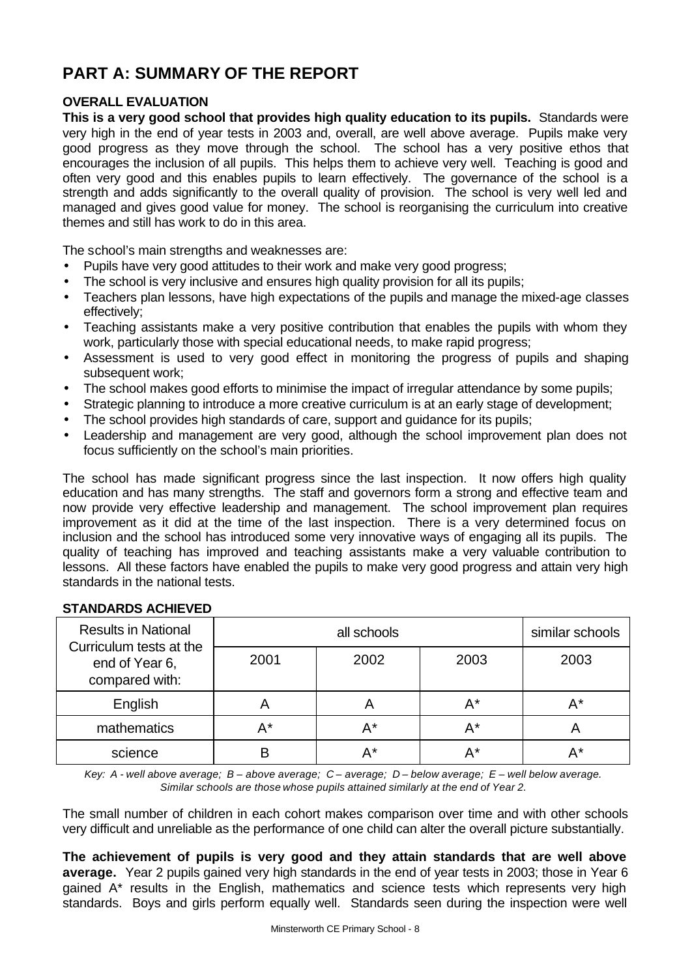## **PART A: SUMMARY OF THE REPORT**

## **OVERALL EVALUATION**

**This is a very good school that provides high quality education to its pupils.** Standards were very high in the end of year tests in 2003 and, overall, are well above average. Pupils make very good progress as they move through the school. The school has a very positive ethos that encourages the inclusion of all pupils. This helps them to achieve very well. Teaching is good and often very good and this enables pupils to learn effectively. The governance of the school is a strength and adds significantly to the overall quality of provision. The school is very well led and managed and gives good value for money. The school is reorganising the curriculum into creative themes and still has work to do in this area.

The school's main strengths and weaknesses are:

- Pupils have very good attitudes to their work and make very good progress;
- The school is very inclusive and ensures high quality provision for all its pupils;
- Teachers plan lessons, have high expectations of the pupils and manage the mixed-age classes effectively;
- Teaching assistants make a very positive contribution that enables the pupils with whom they work, particularly those with special educational needs, to make rapid progress;
- Assessment is used to very good effect in monitoring the progress of pupils and shaping subsequent work;
- The school makes good efforts to minimise the impact of irregular attendance by some pupils;
- Strategic planning to introduce a more creative curriculum is at an early stage of development;
- The school provides high standards of care, support and guidance for its pupils;
- Leadership and management are very good, although the school improvement plan does not focus sufficiently on the school's main priorities.

The school has made significant progress since the last inspection. It now offers high quality education and has many strengths. The staff and governors form a strong and effective team and now provide very effective leadership and management. The school improvement plan requires improvement as it did at the time of the last inspection. There is a very determined focus on inclusion and the school has introduced some very innovative ways of engaging all its pupils. The quality of teaching has improved and teaching assistants make a very valuable contribution to lessons. All these factors have enabled the pupils to make very good progress and attain very high standards in the national tests.

| <b>Results in National</b><br>Curriculum tests at the |       | similar schools |      |      |  |
|-------------------------------------------------------|-------|-----------------|------|------|--|
| end of Year 6,<br>compared with:                      | 2001  | 2002            | 2003 | 2003 |  |
| English                                               |       |                 | A*   | А*   |  |
| mathematics                                           | $A^*$ | $A^*$           | A*   |      |  |
| science                                               |       | A*              | А*   | д*   |  |

#### **STANDARDS ACHIEVED**

*Key: A - well above average; B – above average; C – average; D – below average; E – well below average. Similar schools are those whose pupils attained similarly at the end of Year 2.*

The small number of children in each cohort makes comparison over time and with other schools very difficult and unreliable as the performance of one child can alter the overall picture substantially.

**The achievement of pupils is very good and they attain standards that are well above average.** Year 2 pupils gained very high standards in the end of year tests in 2003; those in Year 6 gained A\* results in the English, mathematics and science tests which represents very high standards. Boys and girls perform equally well. Standards seen during the inspection were well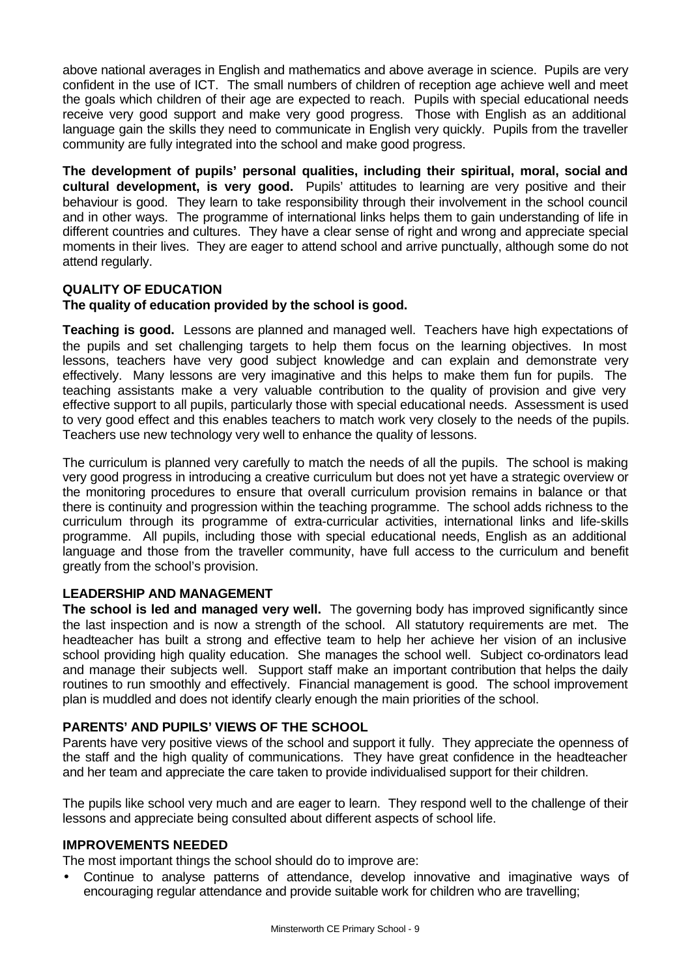above national averages in English and mathematics and above average in science. Pupils are very confident in the use of ICT. The small numbers of children of reception age achieve well and meet the goals which children of their age are expected to reach. Pupils with special educational needs receive very good support and make very good progress. Those with English as an additional language gain the skills they need to communicate in English very quickly. Pupils from the traveller community are fully integrated into the school and make good progress.

**The development of pupils' personal qualities, including their spiritual, moral, social and cultural development, is very good.** Pupils' attitudes to learning are very positive and their behaviour is good. They learn to take responsibility through their involvement in the school council and in other ways. The programme of international links helps them to gain understanding of life in different countries and cultures. They have a clear sense of right and wrong and appreciate special moments in their lives. They are eager to attend school and arrive punctually, although some do not attend regularly.

## **QUALITY OF EDUCATION**

## **The quality of education provided by the school is good.**

**Teaching is good.** Lessons are planned and managed well. Teachers have high expectations of the pupils and set challenging targets to help them focus on the learning objectives. In most lessons, teachers have very good subject knowledge and can explain and demonstrate very effectively. Many lessons are very imaginative and this helps to make them fun for pupils. The teaching assistants make a very valuable contribution to the quality of provision and give very effective support to all pupils, particularly those with special educational needs. Assessment is used to very good effect and this enables teachers to match work very closely to the needs of the pupils. Teachers use new technology very well to enhance the quality of lessons.

The curriculum is planned very carefully to match the needs of all the pupils. The school is making very good progress in introducing a creative curriculum but does not yet have a strategic overview or the monitoring procedures to ensure that overall curriculum provision remains in balance or that there is continuity and progression within the teaching programme. The school adds richness to the curriculum through its programme of extra-curricular activities, international links and life-skills programme. All pupils, including those with special educational needs, English as an additional language and those from the traveller community, have full access to the curriculum and benefit greatly from the school's provision.

## **LEADERSHIP AND MANAGEMENT**

**The school is led and managed very well.** The governing body has improved significantly since the last inspection and is now a strength of the school. All statutory requirements are met. The headteacher has built a strong and effective team to help her achieve her vision of an inclusive school providing high quality education. She manages the school well. Subject co-ordinators lead and manage their subjects well. Support staff make an important contribution that helps the daily routines to run smoothly and effectively. Financial management is good. The school improvement plan is muddled and does not identify clearly enough the main priorities of the school.

## **PARENTS' AND PUPILS' VIEWS OF THE SCHOOL**

Parents have very positive views of the school and support it fully. They appreciate the openness of the staff and the high quality of communications. They have great confidence in the headteacher and her team and appreciate the care taken to provide individualised support for their children.

The pupils like school very much and are eager to learn. They respond well to the challenge of their lessons and appreciate being consulted about different aspects of school life.

## **IMPROVEMENTS NEEDED**

The most important things the school should do to improve are:

• Continue to analyse patterns of attendance, develop innovative and imaginative ways of encouraging regular attendance and provide suitable work for children who are travelling;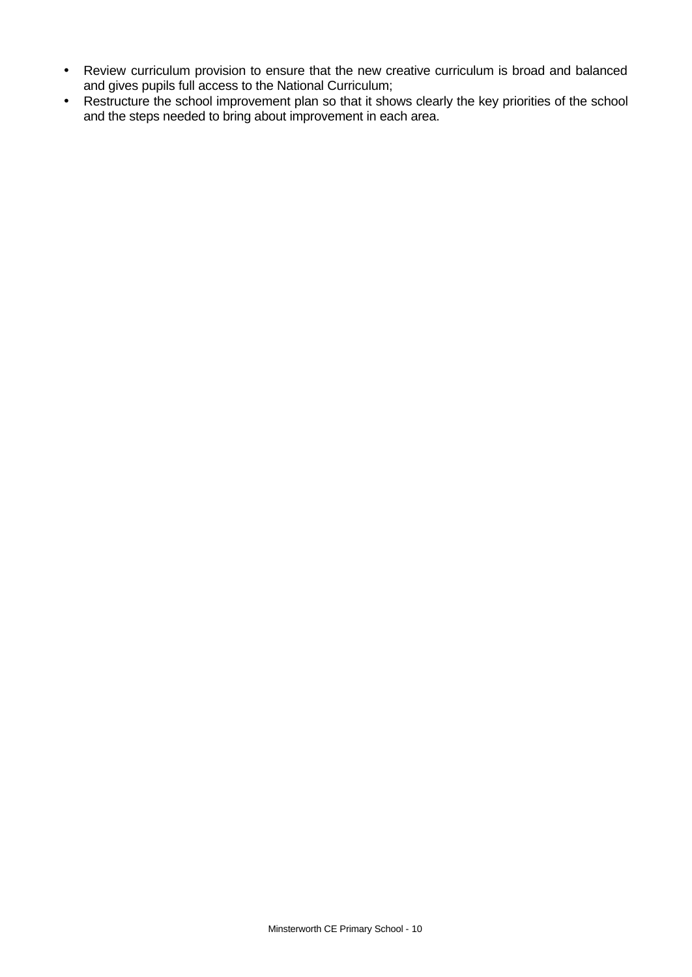- Review curriculum provision to ensure that the new creative curriculum is broad and balanced and gives pupils full access to the National Curriculum;
- Restructure the school improvement plan so that it shows clearly the key priorities of the school and the steps needed to bring about improvement in each area.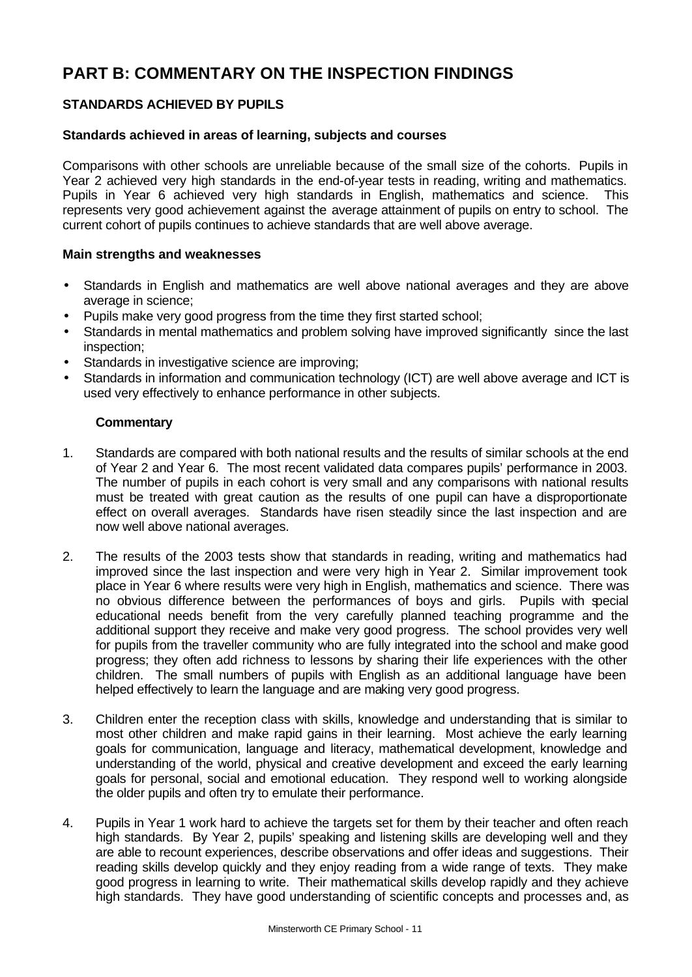## **PART B: COMMENTARY ON THE INSPECTION FINDINGS**

## **STANDARDS ACHIEVED BY PUPILS**

## **Standards achieved in areas of learning, subjects and courses**

Comparisons with other schools are unreliable because of the small size of the cohorts. Pupils in Year 2 achieved very high standards in the end-of-year tests in reading, writing and mathematics. Pupils in Year 6 achieved very high standards in English, mathematics and science. This represents very good achievement against the average attainment of pupils on entry to school. The current cohort of pupils continues to achieve standards that are well above average.

## **Main strengths and weaknesses**

- Standards in English and mathematics are well above national averages and they are above average in science;
- Pupils make very good progress from the time they first started school;
- Standards in mental mathematics and problem solving have improved significantly since the last inspection;
- Standards in investigative science are improving;
- Standards in information and communication technology (ICT) are well above average and ICT is used very effectively to enhance performance in other subjects.

## **Commentary**

- 1. Standards are compared with both national results and the results of similar schools at the end of Year 2 and Year 6. The most recent validated data compares pupils' performance in 2003. The number of pupils in each cohort is very small and any comparisons with national results must be treated with great caution as the results of one pupil can have a disproportionate effect on overall averages. Standards have risen steadily since the last inspection and are now well above national averages.
- 2. The results of the 2003 tests show that standards in reading, writing and mathematics had improved since the last inspection and were very high in Year 2. Similar improvement took place in Year 6 where results were very high in English, mathematics and science. There was no obvious difference between the performances of boys and girls. Pupils with special educational needs benefit from the very carefully planned teaching programme and the additional support they receive and make very good progress. The school provides very well for pupils from the traveller community who are fully integrated into the school and make good progress; they often add richness to lessons by sharing their life experiences with the other children. The small numbers of pupils with English as an additional language have been helped effectively to learn the language and are making very good progress.
- 3. Children enter the reception class with skills, knowledge and understanding that is similar to most other children and make rapid gains in their learning. Most achieve the early learning goals for communication, language and literacy, mathematical development, knowledge and understanding of the world, physical and creative development and exceed the early learning goals for personal, social and emotional education. They respond well to working alongside the older pupils and often try to emulate their performance.
- 4. Pupils in Year 1 work hard to achieve the targets set for them by their teacher and often reach high standards. By Year 2, pupils' speaking and listening skills are developing well and they are able to recount experiences, describe observations and offer ideas and suggestions. Their reading skills develop quickly and they enjoy reading from a wide range of texts. They make good progress in learning to write. Their mathematical skills develop rapidly and they achieve high standards. They have good understanding of scientific concepts and processes and, as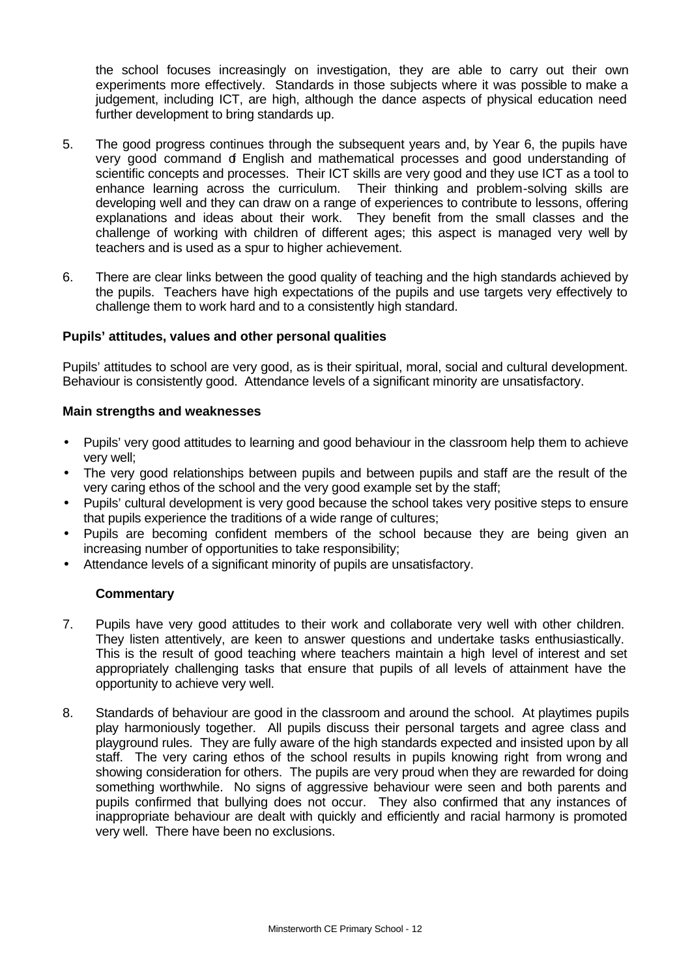the school focuses increasingly on investigation, they are able to carry out their own experiments more effectively. Standards in those subjects where it was possible to make a judgement, including ICT, are high, although the dance aspects of physical education need further development to bring standards up.

- 5. The good progress continues through the subsequent years and, by Year 6, the pupils have very good command of English and mathematical processes and good understanding of scientific concepts and processes. Their ICT skills are very good and they use ICT as a tool to enhance learning across the curriculum. Their thinking and problem-solving skills are developing well and they can draw on a range of experiences to contribute to lessons, offering explanations and ideas about their work. They benefit from the small classes and the challenge of working with children of different ages; this aspect is managed very well by teachers and is used as a spur to higher achievement.
- 6. There are clear links between the good quality of teaching and the high standards achieved by the pupils. Teachers have high expectations of the pupils and use targets very effectively to challenge them to work hard and to a consistently high standard.

#### **Pupils' attitudes, values and other personal qualities**

Pupils' attitudes to school are very good, as is their spiritual, moral, social and cultural development. Behaviour is consistently good. Attendance levels of a significant minority are unsatisfactory.

#### **Main strengths and weaknesses**

- Pupils' very good attitudes to learning and good behaviour in the classroom help them to achieve very well;
- The very good relationships between pupils and between pupils and staff are the result of the very caring ethos of the school and the very good example set by the staff;
- Pupils' cultural development is very good because the school takes very positive steps to ensure that pupils experience the traditions of a wide range of cultures;
- Pupils are becoming confident members of the school because they are being given an increasing number of opportunities to take responsibility;
- Attendance levels of a significant minority of pupils are unsatisfactory.

## **Commentary**

- 7. Pupils have very good attitudes to their work and collaborate very well with other children. They listen attentively, are keen to answer questions and undertake tasks enthusiastically. This is the result of good teaching where teachers maintain a high level of interest and set appropriately challenging tasks that ensure that pupils of all levels of attainment have the opportunity to achieve very well.
- 8. Standards of behaviour are good in the classroom and around the school. At playtimes pupils play harmoniously together. All pupils discuss their personal targets and agree class and playground rules. They are fully aware of the high standards expected and insisted upon by all staff. The very caring ethos of the school results in pupils knowing right from wrong and showing consideration for others. The pupils are very proud when they are rewarded for doing something worthwhile. No signs of aggressive behaviour were seen and both parents and pupils confirmed that bullying does not occur. They also confirmed that any instances of inappropriate behaviour are dealt with quickly and efficiently and racial harmony is promoted very well. There have been no exclusions.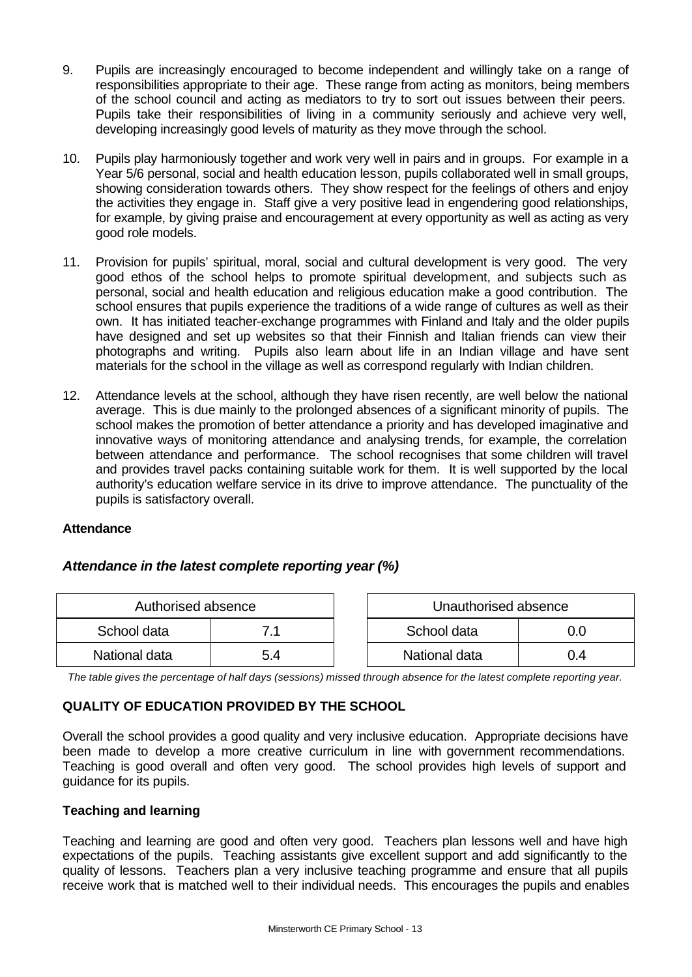- 9. Pupils are increasingly encouraged to become independent and willingly take on a range of responsibilities appropriate to their age. These range from acting as monitors, being members of the school council and acting as mediators to try to sort out issues between their peers. Pupils take their responsibilities of living in a community seriously and achieve very well, developing increasingly good levels of maturity as they move through the school.
- 10. Pupils play harmoniously together and work very well in pairs and in groups. For example in a Year 5/6 personal, social and health education lesson, pupils collaborated well in small groups, showing consideration towards others. They show respect for the feelings of others and enjoy the activities they engage in. Staff give a very positive lead in engendering good relationships, for example, by giving praise and encouragement at every opportunity as well as acting as very good role models.
- 11. Provision for pupils' spiritual, moral, social and cultural development is very good. The very good ethos of the school helps to promote spiritual development, and subjects such as personal, social and health education and religious education make a good contribution. The school ensures that pupils experience the traditions of a wide range of cultures as well as their own. It has initiated teacher-exchange programmes with Finland and Italy and the older pupils have designed and set up websites so that their Finnish and Italian friends can view their photographs and writing. Pupils also learn about life in an Indian village and have sent materials for the school in the village as well as correspond regularly with Indian children.
- 12. Attendance levels at the school, although they have risen recently, are well below the national average. This is due mainly to the prolonged absences of a significant minority of pupils. The school makes the promotion of better attendance a priority and has developed imaginative and innovative ways of monitoring attendance and analysing trends, for example, the correlation between attendance and performance. The school recognises that some children will travel and provides travel packs containing suitable work for them. It is well supported by the local authority's education welfare service in its drive to improve attendance. The punctuality of the pupils is satisfactory overall.

## **Attendance**

## *Attendance in the latest complete reporting year (%)*

| Authorised absence |     | Unauthorised absence |               |  |
|--------------------|-----|----------------------|---------------|--|
| School data        |     |                      | School data   |  |
| National data      | 5.4 |                      | National data |  |

*The table gives the percentage of half days (sessions) missed through absence for the latest complete reporting year.*

## **QUALITY OF EDUCATION PROVIDED BY THE SCHOOL**

Overall the school provides a good quality and very inclusive education. Appropriate decisions have been made to develop a more creative curriculum in line with government recommendations. Teaching is good overall and often very good. The school provides high levels of support and guidance for its pupils.

## **Teaching and learning**

Teaching and learning are good and often very good. Teachers plan lessons well and have high expectations of the pupils. Teaching assistants give excellent support and add significantly to the quality of lessons. Teachers plan a very inclusive teaching programme and ensure that all pupils receive work that is matched well to their individual needs. This encourages the pupils and enables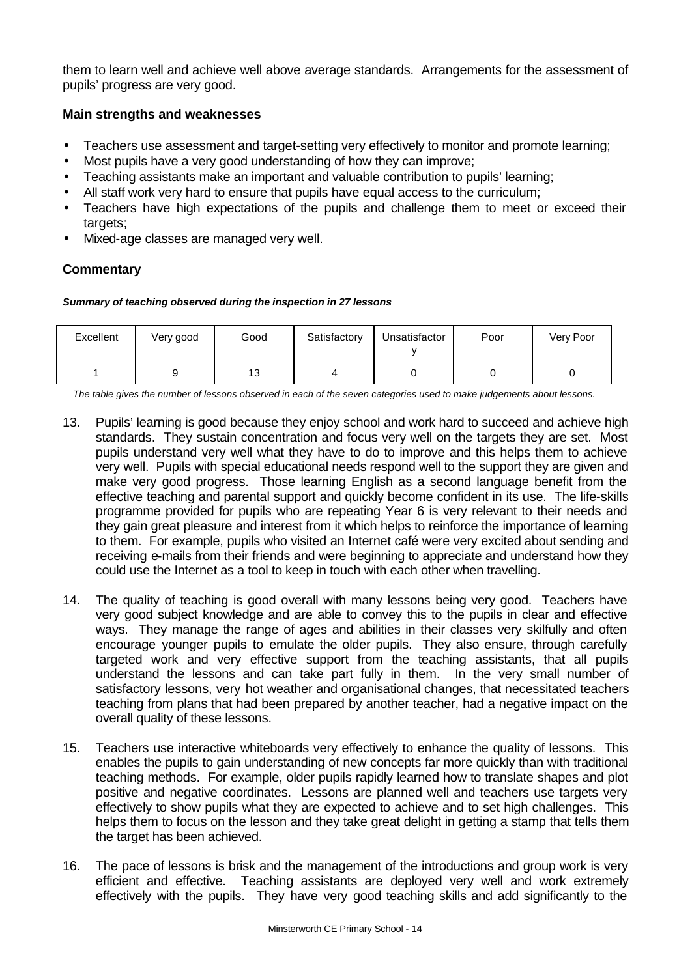them to learn well and achieve well above average standards. Arrangements for the assessment of pupils' progress are very good.

## **Main strengths and weaknesses**

- Teachers use assessment and target-setting very effectively to monitor and promote learning;
- Most pupils have a very good understanding of how they can improve;
- Teaching assistants make an important and valuable contribution to pupils' learning;
- All staff work very hard to ensure that pupils have equal access to the curriculum;
- Teachers have high expectations of the pupils and challenge them to meet or exceed their targets;
- Mixed-age classes are managed very well.

## **Commentary**

#### *Summary of teaching observed during the inspection in 27 lessons*

| Excellent | Very good | Good | Satisfactory | Unsatisfactor | Poor | Very Poor |
|-----------|-----------|------|--------------|---------------|------|-----------|
|           |           | 13   |              |               |      |           |

*The table gives the number of lessons observed in each of the seven categories used to make judgements about lessons.*

- 13. Pupils' learning is good because they enjoy school and work hard to succeed and achieve high standards. They sustain concentration and focus very well on the targets they are set. Most pupils understand very well what they have to do to improve and this helps them to achieve very well. Pupils with special educational needs respond well to the support they are given and make very good progress. Those learning English as a second language benefit from the effective teaching and parental support and quickly become confident in its use. The life-skills programme provided for pupils who are repeating Year 6 is very relevant to their needs and they gain great pleasure and interest from it which helps to reinforce the importance of learning to them. For example, pupils who visited an Internet café were very excited about sending and receiving e-mails from their friends and were beginning to appreciate and understand how they could use the Internet as a tool to keep in touch with each other when travelling.
- 14. The quality of teaching is good overall with many lessons being very good. Teachers have very good subject knowledge and are able to convey this to the pupils in clear and effective ways. They manage the range of ages and abilities in their classes very skilfully and often encourage younger pupils to emulate the older pupils. They also ensure, through carefully targeted work and very effective support from the teaching assistants, that all pupils understand the lessons and can take part fully in them. In the very small number of satisfactory lessons, very hot weather and organisational changes, that necessitated teachers teaching from plans that had been prepared by another teacher, had a negative impact on the overall quality of these lessons.
- 15. Teachers use interactive whiteboards very effectively to enhance the quality of lessons. This enables the pupils to gain understanding of new concepts far more quickly than with traditional teaching methods. For example, older pupils rapidly learned how to translate shapes and plot positive and negative coordinates. Lessons are planned well and teachers use targets very effectively to show pupils what they are expected to achieve and to set high challenges. This helps them to focus on the lesson and they take great delight in getting a stamp that tells them the target has been achieved.
- 16. The pace of lessons is brisk and the management of the introductions and group work is very efficient and effective. Teaching assistants are deployed very well and work extremely effectively with the pupils. They have very good teaching skills and add significantly to the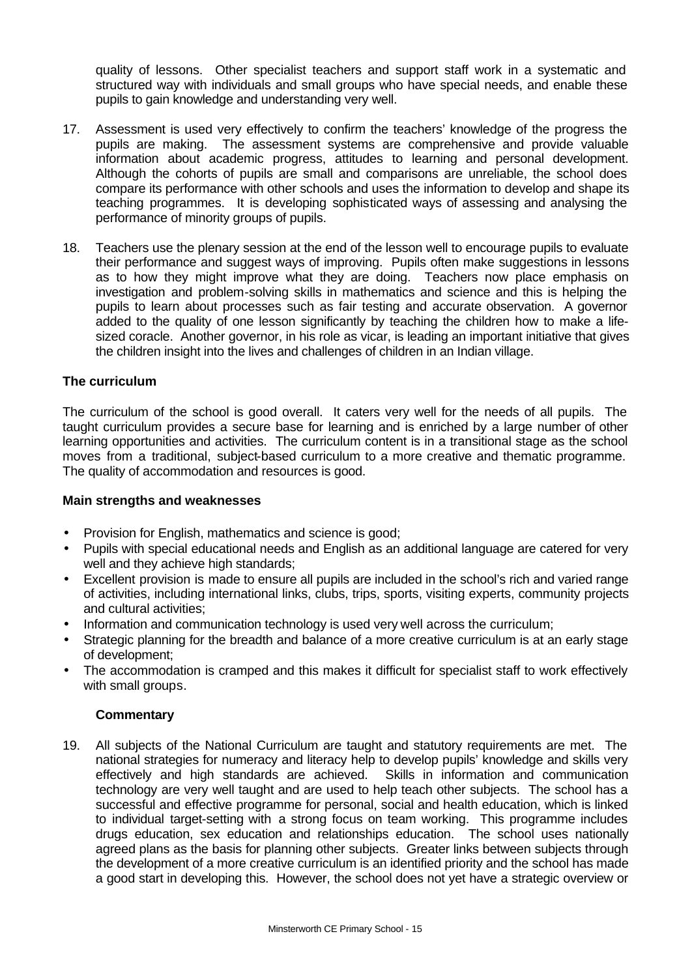quality of lessons. Other specialist teachers and support staff work in a systematic and structured way with individuals and small groups who have special needs, and enable these pupils to gain knowledge and understanding very well.

- 17. Assessment is used very effectively to confirm the teachers' knowledge of the progress the pupils are making. The assessment systems are comprehensive and provide valuable information about academic progress, attitudes to learning and personal development. Although the cohorts of pupils are small and comparisons are unreliable, the school does compare its performance with other schools and uses the information to develop and shape its teaching programmes. It is developing sophisticated ways of assessing and analysing the performance of minority groups of pupils.
- 18. Teachers use the plenary session at the end of the lesson well to encourage pupils to evaluate their performance and suggest ways of improving. Pupils often make suggestions in lessons as to how they might improve what they are doing. Teachers now place emphasis on investigation and problem-solving skills in mathematics and science and this is helping the pupils to learn about processes such as fair testing and accurate observation. A governor added to the quality of one lesson significantly by teaching the children how to make a lifesized coracle. Another governor, in his role as vicar, is leading an important initiative that gives the children insight into the lives and challenges of children in an Indian village.

## **The curriculum**

The curriculum of the school is good overall. It caters very well for the needs of all pupils. The taught curriculum provides a secure base for learning and is enriched by a large number of other learning opportunities and activities. The curriculum content is in a transitional stage as the school moves from a traditional, subject-based curriculum to a more creative and thematic programme. The quality of accommodation and resources is good.

#### **Main strengths and weaknesses**

- Provision for English, mathematics and science is good;
- Pupils with special educational needs and English as an additional language are catered for very well and they achieve high standards;
- Excellent provision is made to ensure all pupils are included in the school's rich and varied range of activities, including international links, clubs, trips, sports, visiting experts, community projects and cultural activities;
- Information and communication technology is used very well across the curriculum;
- Strategic planning for the breadth and balance of a more creative curriculum is at an early stage of development;
- The accommodation is cramped and this makes it difficult for specialist staff to work effectively with small groups.

## **Commentary**

19. All subjects of the National Curriculum are taught and statutory requirements are met. The national strategies for numeracy and literacy help to develop pupils' knowledge and skills very effectively and high standards are achieved. Skills in information and communication technology are very well taught and are used to help teach other subjects. The school has a successful and effective programme for personal, social and health education, which is linked to individual target-setting with a strong focus on team working. This programme includes drugs education, sex education and relationships education. The school uses nationally agreed plans as the basis for planning other subjects. Greater links between subjects through the development of a more creative curriculum is an identified priority and the school has made a good start in developing this. However, the school does not yet have a strategic overview or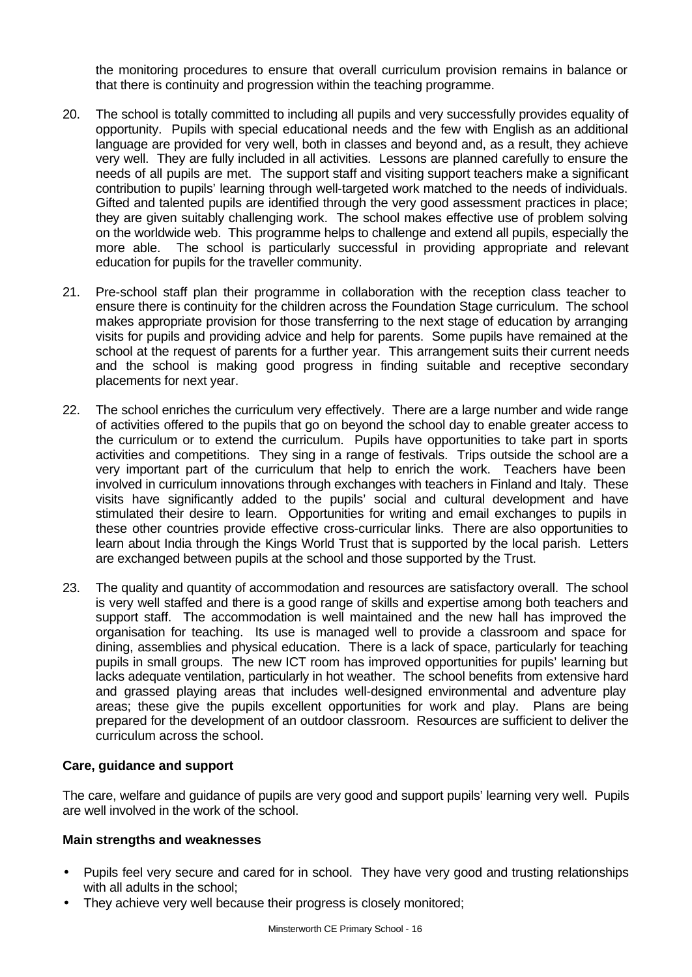the monitoring procedures to ensure that overall curriculum provision remains in balance or that there is continuity and progression within the teaching programme.

- 20. The school is totally committed to including all pupils and very successfully provides equality of opportunity. Pupils with special educational needs and the few with English as an additional language are provided for very well, both in classes and beyond and, as a result, they achieve very well. They are fully included in all activities. Lessons are planned carefully to ensure the needs of all pupils are met. The support staff and visiting support teachers make a significant contribution to pupils' learning through well-targeted work matched to the needs of individuals. Gifted and talented pupils are identified through the very good assessment practices in place; they are given suitably challenging work. The school makes effective use of problem solving on the worldwide web. This programme helps to challenge and extend all pupils, especially the more able. The school is particularly successful in providing appropriate and relevant education for pupils for the traveller community.
- 21. Pre-school staff plan their programme in collaboration with the reception class teacher to ensure there is continuity for the children across the Foundation Stage curriculum. The school makes appropriate provision for those transferring to the next stage of education by arranging visits for pupils and providing advice and help for parents. Some pupils have remained at the school at the request of parents for a further year. This arrangement suits their current needs and the school is making good progress in finding suitable and receptive secondary placements for next year.
- 22. The school enriches the curriculum very effectively. There are a large number and wide range of activities offered to the pupils that go on beyond the school day to enable greater access to the curriculum or to extend the curriculum. Pupils have opportunities to take part in sports activities and competitions. They sing in a range of festivals. Trips outside the school are a very important part of the curriculum that help to enrich the work. Teachers have been involved in curriculum innovations through exchanges with teachers in Finland and Italy. These visits have significantly added to the pupils' social and cultural development and have stimulated their desire to learn. Opportunities for writing and email exchanges to pupils in these other countries provide effective cross-curricular links. There are also opportunities to learn about India through the Kings World Trust that is supported by the local parish. Letters are exchanged between pupils at the school and those supported by the Trust.
- 23. The quality and quantity of accommodation and resources are satisfactory overall. The school is very well staffed and there is a good range of skills and expertise among both teachers and support staff. The accommodation is well maintained and the new hall has improved the organisation for teaching. Its use is managed well to provide a classroom and space for dining, assemblies and physical education. There is a lack of space, particularly for teaching pupils in small groups. The new ICT room has improved opportunities for pupils' learning but lacks adequate ventilation, particularly in hot weather. The school benefits from extensive hard and grassed playing areas that includes well-designed environmental and adventure play areas; these give the pupils excellent opportunities for work and play. Plans are being prepared for the development of an outdoor classroom. Resources are sufficient to deliver the curriculum across the school.

## **Care, guidance and support**

The care, welfare and guidance of pupils are very good and support pupils' learning very well. Pupils are well involved in the work of the school.

#### **Main strengths and weaknesses**

- Pupils feel very secure and cared for in school. They have very good and trusting relationships with all adults in the school:
- They achieve very well because their progress is closely monitored;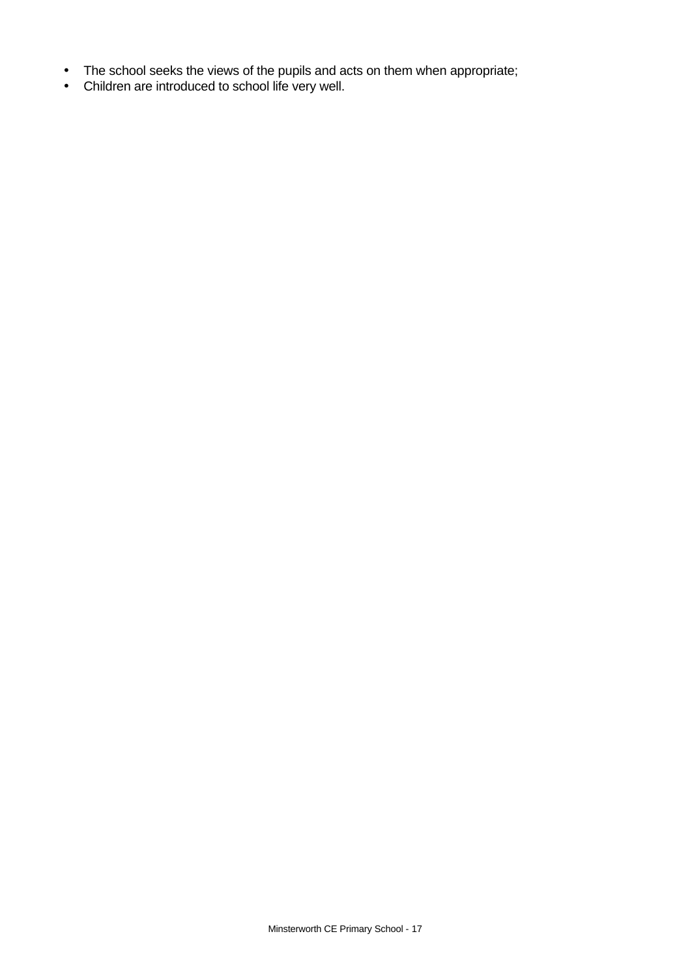- The school seeks the views of the pupils and acts on them when appropriate;
- Children are introduced to school life very well.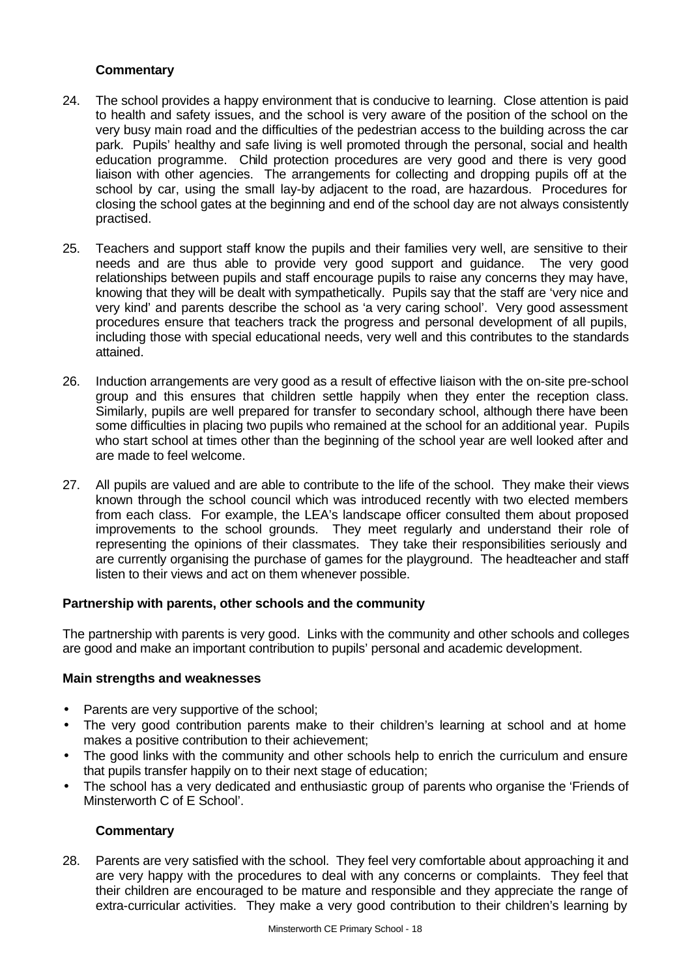## **Commentary**

- 24. The school provides a happy environment that is conducive to learning. Close attention is paid to health and safety issues, and the school is very aware of the position of the school on the very busy main road and the difficulties of the pedestrian access to the building across the car park. Pupils' healthy and safe living is well promoted through the personal, social and health education programme. Child protection procedures are very good and there is very good liaison with other agencies. The arrangements for collecting and dropping pupils off at the school by car, using the small lay-by adjacent to the road, are hazardous. Procedures for closing the school gates at the beginning and end of the school day are not always consistently practised.
- 25. Teachers and support staff know the pupils and their families very well, are sensitive to their needs and are thus able to provide very good support and guidance. The very good relationships between pupils and staff encourage pupils to raise any concerns they may have, knowing that they will be dealt with sympathetically. Pupils say that the staff are 'very nice and very kind' and parents describe the school as 'a very caring school'. Very good assessment procedures ensure that teachers track the progress and personal development of all pupils, including those with special educational needs, very well and this contributes to the standards attained.
- 26. Induction arrangements are very good as a result of effective liaison with the on-site pre-school group and this ensures that children settle happily when they enter the reception class. Similarly, pupils are well prepared for transfer to secondary school, although there have been some difficulties in placing two pupils who remained at the school for an additional year. Pupils who start school at times other than the beginning of the school year are well looked after and are made to feel welcome.
- 27. All pupils are valued and are able to contribute to the life of the school. They make their views known through the school council which was introduced recently with two elected members from each class. For example, the LEA's landscape officer consulted them about proposed improvements to the school grounds. They meet regularly and understand their role of representing the opinions of their classmates. They take their responsibilities seriously and are currently organising the purchase of games for the playground. The headteacher and staff listen to their views and act on them whenever possible.

## **Partnership with parents, other schools and the community**

The partnership with parents is very good. Links with the community and other schools and colleges are good and make an important contribution to pupils' personal and academic development.

## **Main strengths and weaknesses**

- Parents are very supportive of the school;
- The very good contribution parents make to their children's learning at school and at home makes a positive contribution to their achievement;
- The good links with the community and other schools help to enrich the curriculum and ensure that pupils transfer happily on to their next stage of education;
- The school has a very dedicated and enthusiastic group of parents who organise the 'Friends of Minsterworth C of E School'.

## **Commentary**

28. Parents are very satisfied with the school. They feel very comfortable about approaching it and are very happy with the procedures to deal with any concerns or complaints. They feel that their children are encouraged to be mature and responsible and they appreciate the range of extra-curricular activities. They make a very good contribution to their children's learning by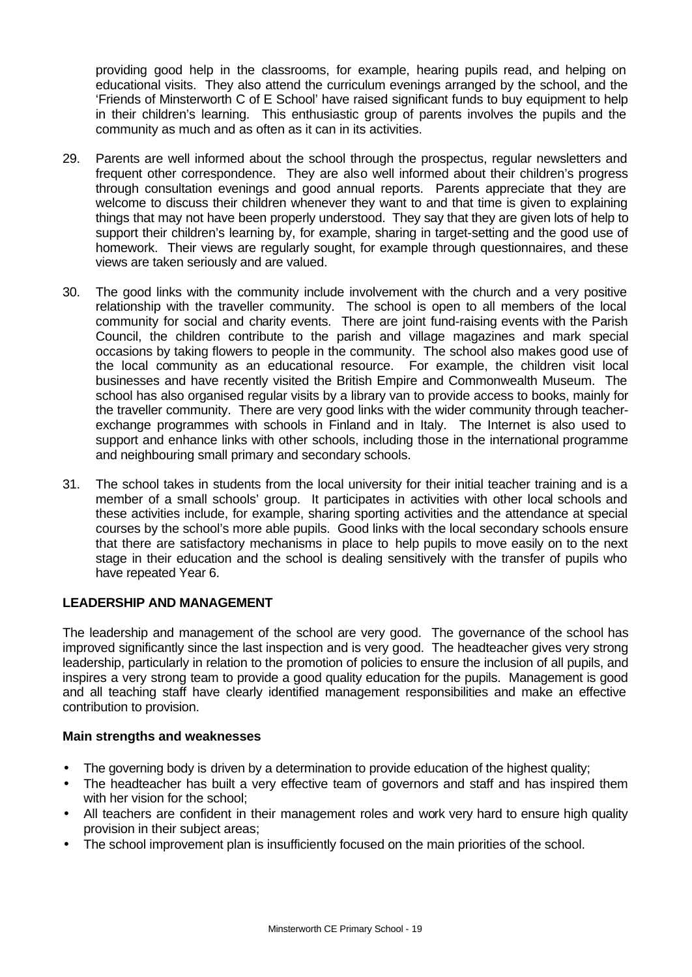providing good help in the classrooms, for example, hearing pupils read, and helping on educational visits. They also attend the curriculum evenings arranged by the school, and the 'Friends of Minsterworth C of E School' have raised significant funds to buy equipment to help in their children's learning. This enthusiastic group of parents involves the pupils and the community as much and as often as it can in its activities.

- 29. Parents are well informed about the school through the prospectus, regular newsletters and frequent other correspondence. They are also well informed about their children's progress through consultation evenings and good annual reports. Parents appreciate that they are welcome to discuss their children whenever they want to and that time is given to explaining things that may not have been properly understood. They say that they are given lots of help to support their children's learning by, for example, sharing in target-setting and the good use of homework. Their views are regularly sought, for example through questionnaires, and these views are taken seriously and are valued.
- 30. The good links with the community include involvement with the church and a very positive relationship with the traveller community. The school is open to all members of the local community for social and charity events. There are joint fund-raising events with the Parish Council, the children contribute to the parish and village magazines and mark special occasions by taking flowers to people in the community. The school also makes good use of the local community as an educational resource. For example, the children visit local businesses and have recently visited the British Empire and Commonwealth Museum. The school has also organised regular visits by a library van to provide access to books, mainly for the traveller community. There are very good links with the wider community through teacherexchange programmes with schools in Finland and in Italy. The Internet is also used to support and enhance links with other schools, including those in the international programme and neighbouring small primary and secondary schools.
- 31. The school takes in students from the local university for their initial teacher training and is a member of a small schools' group. It participates in activities with other local schools and these activities include, for example, sharing sporting activities and the attendance at special courses by the school's more able pupils. Good links with the local secondary schools ensure that there are satisfactory mechanisms in place to help pupils to move easily on to the next stage in their education and the school is dealing sensitively with the transfer of pupils who have repeated Year 6.

## **LEADERSHIP AND MANAGEMENT**

The leadership and management of the school are very good. The governance of the school has improved significantly since the last inspection and is very good. The headteacher gives very strong leadership, particularly in relation to the promotion of policies to ensure the inclusion of all pupils, and inspires a very strong team to provide a good quality education for the pupils. Management is good and all teaching staff have clearly identified management responsibilities and make an effective contribution to provision.

## **Main strengths and weaknesses**

- The governing body is driven by a determination to provide education of the highest quality;
- The headteacher has built a very effective team of governors and staff and has inspired them with her vision for the school:
- All teachers are confident in their management roles and work very hard to ensure high quality provision in their subject areas;
- The school improvement plan is insufficiently focused on the main priorities of the school.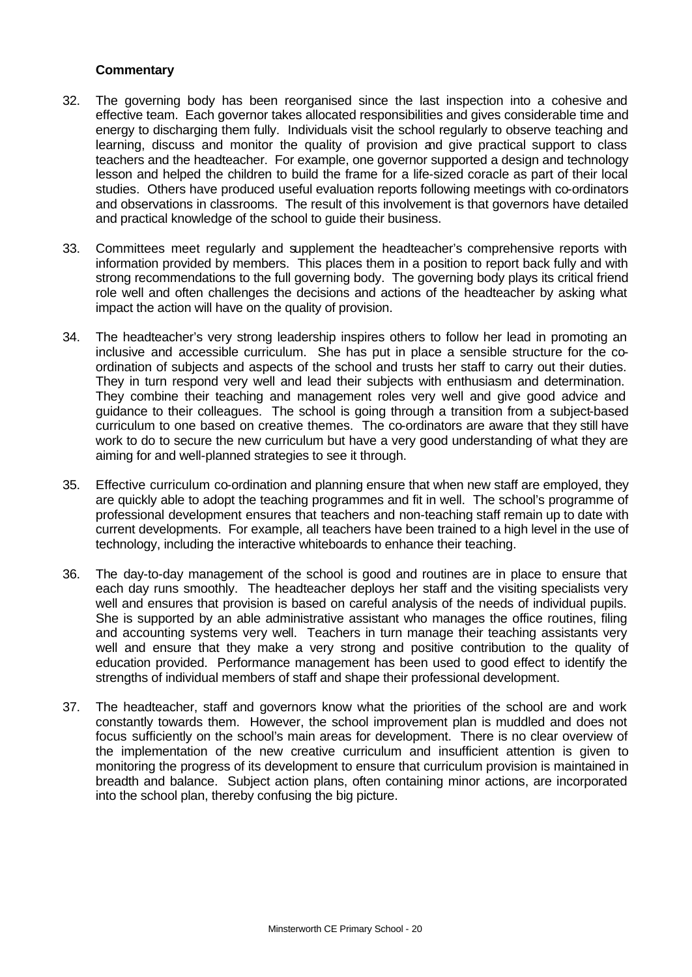## **Commentary**

- 32. The governing body has been reorganised since the last inspection into a cohesive and effective team. Each governor takes allocated responsibilities and gives considerable time and energy to discharging them fully. Individuals visit the school regularly to observe teaching and learning, discuss and monitor the quality of provision and give practical support to class teachers and the headteacher. For example, one governor supported a design and technology lesson and helped the children to build the frame for a life-sized coracle as part of their local studies. Others have produced useful evaluation reports following meetings with co-ordinators and observations in classrooms. The result of this involvement is that governors have detailed and practical knowledge of the school to guide their business.
- 33. Committees meet regularly and supplement the headteacher's comprehensive reports with information provided by members. This places them in a position to report back fully and with strong recommendations to the full governing body. The governing body plays its critical friend role well and often challenges the decisions and actions of the headteacher by asking what impact the action will have on the quality of provision.
- 34. The headteacher's very strong leadership inspires others to follow her lead in promoting an inclusive and accessible curriculum. She has put in place a sensible structure for the coordination of subjects and aspects of the school and trusts her staff to carry out their duties. They in turn respond very well and lead their subjects with enthusiasm and determination. They combine their teaching and management roles very well and give good advice and guidance to their colleagues. The school is going through a transition from a subject-based curriculum to one based on creative themes. The co-ordinators are aware that they still have work to do to secure the new curriculum but have a very good understanding of what they are aiming for and well-planned strategies to see it through.
- 35. Effective curriculum co-ordination and planning ensure that when new staff are employed, they are quickly able to adopt the teaching programmes and fit in well. The school's programme of professional development ensures that teachers and non-teaching staff remain up to date with current developments. For example, all teachers have been trained to a high level in the use of technology, including the interactive whiteboards to enhance their teaching.
- 36. The day-to-day management of the school is good and routines are in place to ensure that each day runs smoothly. The headteacher deploys her staff and the visiting specialists very well and ensures that provision is based on careful analysis of the needs of individual pupils. She is supported by an able administrative assistant who manages the office routines, filing and accounting systems very well. Teachers in turn manage their teaching assistants very well and ensure that they make a very strong and positive contribution to the quality of education provided. Performance management has been used to good effect to identify the strengths of individual members of staff and shape their professional development.
- 37. The headteacher, staff and governors know what the priorities of the school are and work constantly towards them. However, the school improvement plan is muddled and does not focus sufficiently on the school's main areas for development. There is no clear overview of the implementation of the new creative curriculum and insufficient attention is given to monitoring the progress of its development to ensure that curriculum provision is maintained in breadth and balance. Subject action plans, often containing minor actions, are incorporated into the school plan, thereby confusing the big picture.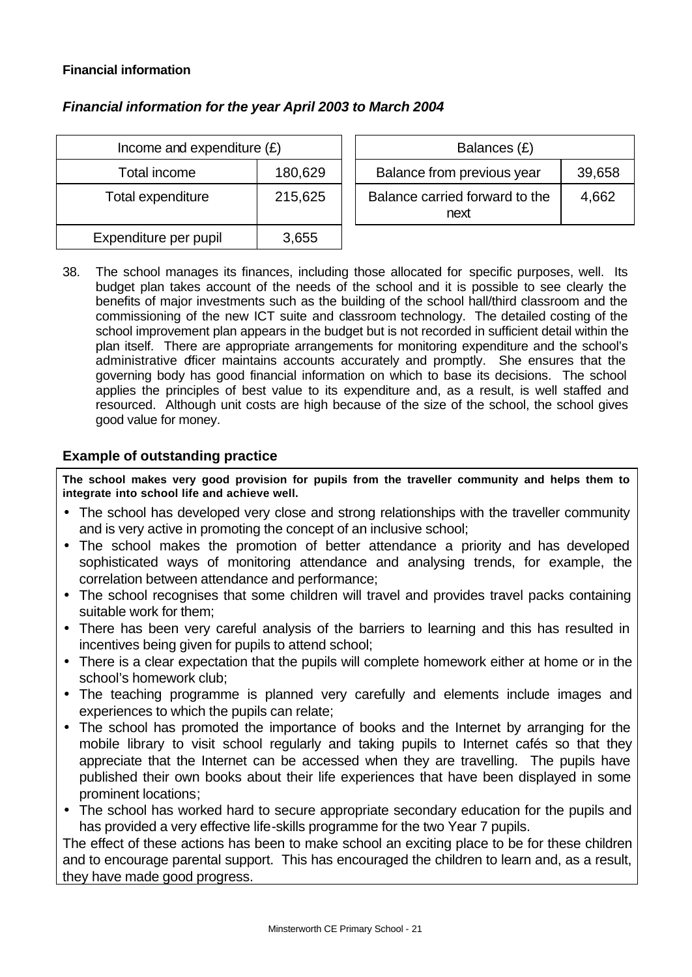## **Financial information**

| Income and expenditure $(E)$ |         | Balances (£)                           |
|------------------------------|---------|----------------------------------------|
| Total income                 | 180,629 | Balance from previous year             |
| Total expenditure            | 215,625 | Balance carried forward to the<br>next |
| Expenditure per pupil        | 3,655   |                                        |

## *Financial information for the year April 2003 to March 2004*

| Income and expenditure $(E)$ |         | Balances (£)                           |        |
|------------------------------|---------|----------------------------------------|--------|
| Total income                 | 180,629 | Balance from previous year             | 39,658 |
| tal expenditure              | 215,625 | Balance carried forward to the<br>next | 4,662  |

38. The school manages its finances, including those allocated for specific purposes, well. Its budget plan takes account of the needs of the school and it is possible to see clearly the benefits of major investments such as the building of the school hall/third classroom and the commissioning of the new ICT suite and classroom technology. The detailed costing of the school improvement plan appears in the budget but is not recorded in sufficient detail within the plan itself. There are appropriate arrangements for monitoring expenditure and the school's administrative officer maintains accounts accurately and promptly. She ensures that the governing body has good financial information on which to base its decisions. The school applies the principles of best value to its expenditure and, as a result, is well staffed and resourced. Although unit costs are high because of the size of the school, the school gives good value for money.

## **Example of outstanding practice**

**The school makes very good provision for pupils from the traveller community and helps them to integrate into school life and achieve well.**

- The school has developed very close and strong relationships with the traveller community and is very active in promoting the concept of an inclusive school;
- The school makes the promotion of better attendance a priority and has developed sophisticated ways of monitoring attendance and analysing trends, for example, the correlation between attendance and performance;
- The school recognises that some children will travel and provides travel packs containing suitable work for them;
- There has been very careful analysis of the barriers to learning and this has resulted in incentives being given for pupils to attend school;
- There is a clear expectation that the pupils will complete homework either at home or in the school's homework club;
- The teaching programme is planned very carefully and elements include images and experiences to which the pupils can relate;
- The school has promoted the importance of books and the Internet by arranging for the mobile library to visit school regularly and taking pupils to Internet cafés so that they appreciate that the Internet can be accessed when they are travelling. The pupils have published their own books about their life experiences that have been displayed in some prominent locations;
- The school has worked hard to secure appropriate secondary education for the pupils and has provided a very effective life-skills programme for the two Year 7 pupils.

The effect of these actions has been to make school an exciting place to be for these children and to encourage parental support. This has encouraged the children to learn and, as a result, they have made good progress.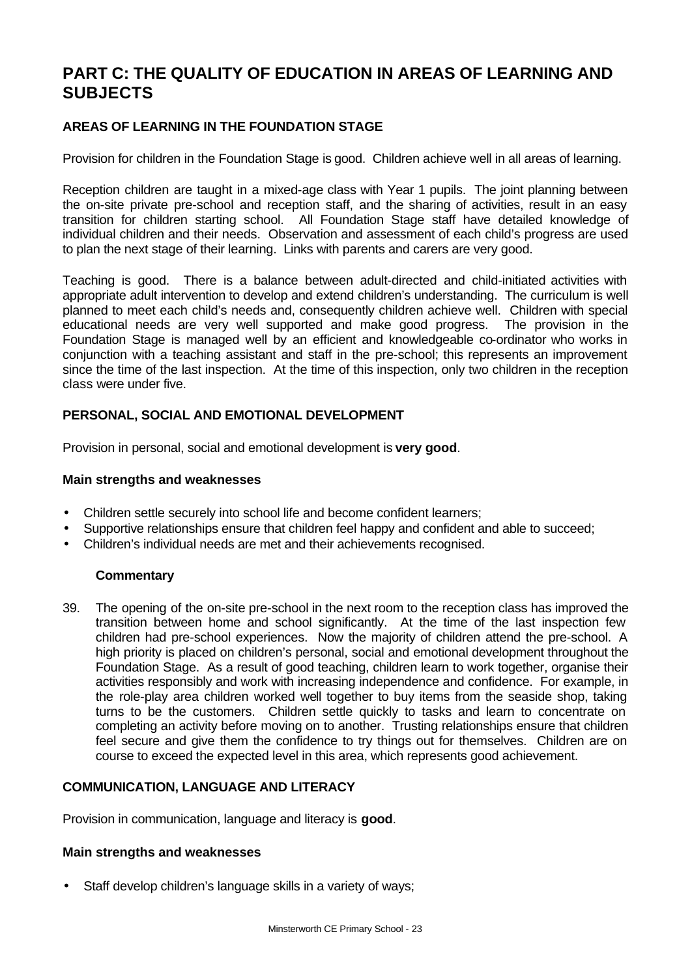## **PART C: THE QUALITY OF EDUCATION IN AREAS OF LEARNING AND SUBJECTS**

## **AREAS OF LEARNING IN THE FOUNDATION STAGE**

Provision for children in the Foundation Stage is good. Children achieve well in all areas of learning.

Reception children are taught in a mixed-age class with Year 1 pupils. The joint planning between the on-site private pre-school and reception staff, and the sharing of activities, result in an easy transition for children starting school. All Foundation Stage staff have detailed knowledge of individual children and their needs. Observation and assessment of each child's progress are used to plan the next stage of their learning. Links with parents and carers are very good.

Teaching is good. There is a balance between adult-directed and child-initiated activities with appropriate adult intervention to develop and extend children's understanding. The curriculum is well planned to meet each child's needs and, consequently children achieve well. Children with special educational needs are very well supported and make good progress. The provision in the Foundation Stage is managed well by an efficient and knowledgeable co-ordinator who works in conjunction with a teaching assistant and staff in the pre-school; this represents an improvement since the time of the last inspection. At the time of this inspection, only two children in the reception class were under five.

## **PERSONAL, SOCIAL AND EMOTIONAL DEVELOPMENT**

Provision in personal, social and emotional development is **very good**.

#### **Main strengths and weaknesses**

- Children settle securely into school life and become confident learners;
- Supportive relationships ensure that children feel happy and confident and able to succeed;
- Children's individual needs are met and their achievements recognised.

## **Commentary**

39. The opening of the on-site pre-school in the next room to the reception class has improved the transition between home and school significantly. At the time of the last inspection few children had pre-school experiences. Now the majority of children attend the pre-school. A high priority is placed on children's personal, social and emotional development throughout the Foundation Stage. As a result of good teaching, children learn to work together, organise their activities responsibly and work with increasing independence and confidence. For example, in the role-play area children worked well together to buy items from the seaside shop, taking turns to be the customers. Children settle quickly to tasks and learn to concentrate on completing an activity before moving on to another. Trusting relationships ensure that children feel secure and give them the confidence to try things out for themselves. Children are on course to exceed the expected level in this area, which represents good achievement.

## **COMMUNICATION, LANGUAGE AND LITERACY**

Provision in communication, language and literacy is **good**.

#### **Main strengths and weaknesses**

• Staff develop children's language skills in a variety of ways;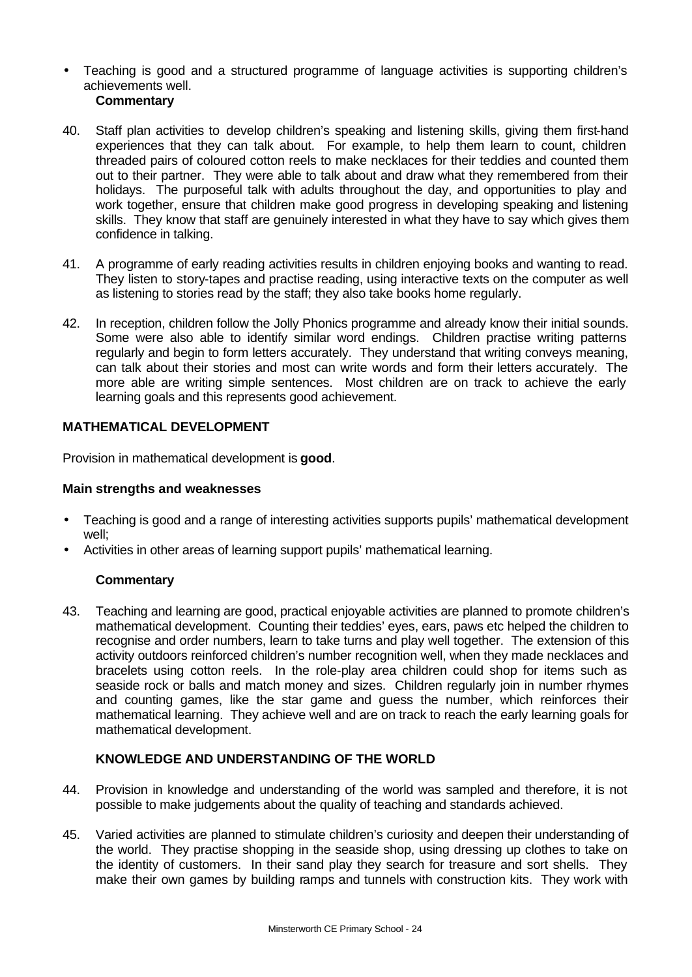• Teaching is good and a structured programme of language activities is supporting children's achievements well.

## **Commentary**

- 40. Staff plan activities to develop children's speaking and listening skills, giving them first-hand experiences that they can talk about. For example, to help them learn to count, children threaded pairs of coloured cotton reels to make necklaces for their teddies and counted them out to their partner. They were able to talk about and draw what they remembered from their holidays. The purposeful talk with adults throughout the day, and opportunities to play and work together, ensure that children make good progress in developing speaking and listening skills. They know that staff are genuinely interested in what they have to say which gives them confidence in talking.
- 41. A programme of early reading activities results in children enjoying books and wanting to read. They listen to story-tapes and practise reading, using interactive texts on the computer as well as listening to stories read by the staff; they also take books home regularly.
- 42. In reception, children follow the Jolly Phonics programme and already know their initial sounds. Some were also able to identify similar word endings. Children practise writing patterns regularly and begin to form letters accurately. They understand that writing conveys meaning, can talk about their stories and most can write words and form their letters accurately. The more able are writing simple sentences. Most children are on track to achieve the early learning goals and this represents good achievement.

## **MATHEMATICAL DEVELOPMENT**

Provision in mathematical development is **good**.

## **Main strengths and weaknesses**

- Teaching is good and a range of interesting activities supports pupils' mathematical development well;
- Activities in other areas of learning support pupils' mathematical learning.

## **Commentary**

43. Teaching and learning are good, practical enjoyable activities are planned to promote children's mathematical development. Counting their teddies' eyes, ears, paws etc helped the children to recognise and order numbers, learn to take turns and play well together. The extension of this activity outdoors reinforced children's number recognition well, when they made necklaces and bracelets using cotton reels. In the role-play area children could shop for items such as seaside rock or balls and match money and sizes. Children regularly join in number rhymes and counting games, like the star game and guess the number, which reinforces their mathematical learning. They achieve well and are on track to reach the early learning goals for mathematical development.

## **KNOWLEDGE AND UNDERSTANDING OF THE WORLD**

- 44. Provision in knowledge and understanding of the world was sampled and therefore, it is not possible to make judgements about the quality of teaching and standards achieved.
- 45. Varied activities are planned to stimulate children's curiosity and deepen their understanding of the world. They practise shopping in the seaside shop, using dressing up clothes to take on the identity of customers. In their sand play they search for treasure and sort shells. They make their own games by building ramps and tunnels with construction kits. They work with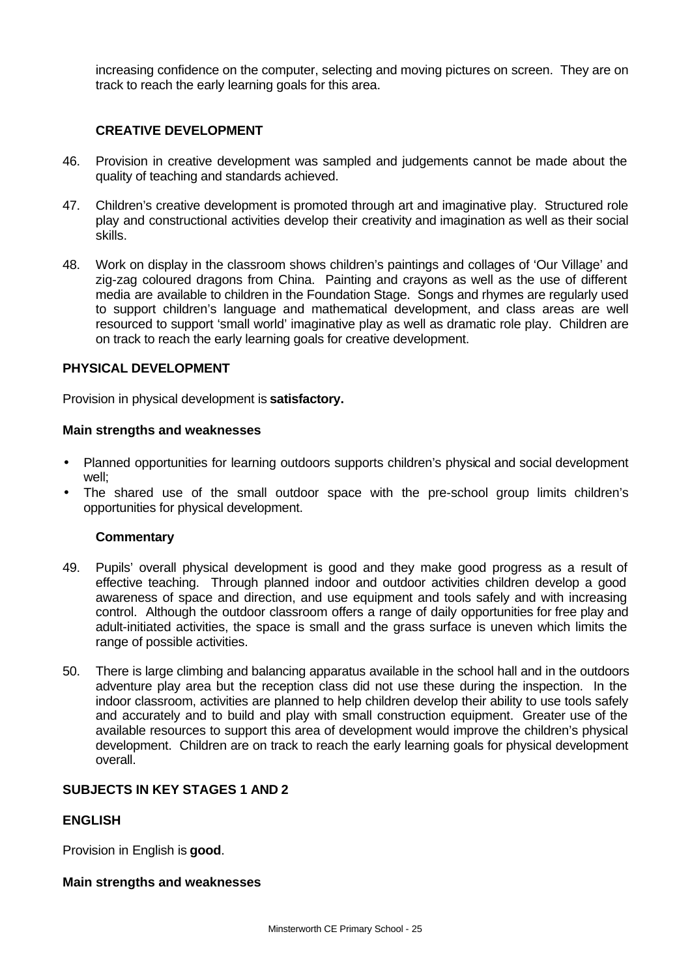increasing confidence on the computer, selecting and moving pictures on screen. They are on track to reach the early learning goals for this area.

## **CREATIVE DEVELOPMENT**

- 46. Provision in creative development was sampled and judgements cannot be made about the quality of teaching and standards achieved.
- 47. Children's creative development is promoted through art and imaginative play. Structured role play and constructional activities develop their creativity and imagination as well as their social skills.
- 48. Work on display in the classroom shows children's paintings and collages of 'Our Village' and zig-zag coloured dragons from China. Painting and crayons as well as the use of different media are available to children in the Foundation Stage. Songs and rhymes are regularly used to support children's language and mathematical development, and class areas are well resourced to support 'small world' imaginative play as well as dramatic role play. Children are on track to reach the early learning goals for creative development.

## **PHYSICAL DEVELOPMENT**

Provision in physical development is **satisfactory.** 

#### **Main strengths and weaknesses**

- Planned opportunities for learning outdoors supports children's physical and social development well;
- The shared use of the small outdoor space with the pre-school group limits children's opportunities for physical development.

#### **Commentary**

- 49. Pupils' overall physical development is good and they make good progress as a result of effective teaching. Through planned indoor and outdoor activities children develop a good awareness of space and direction, and use equipment and tools safely and with increasing control. Although the outdoor classroom offers a range of daily opportunities for free play and adult-initiated activities, the space is small and the grass surface is uneven which limits the range of possible activities.
- 50. There is large climbing and balancing apparatus available in the school hall and in the outdoors adventure play area but the reception class did not use these during the inspection. In the indoor classroom, activities are planned to help children develop their ability to use tools safely and accurately and to build and play with small construction equipment. Greater use of the available resources to support this area of development would improve the children's physical development. Children are on track to reach the early learning goals for physical development overall.

## **SUBJECTS IN KEY STAGES 1 AND 2**

#### **ENGLISH**

Provision in English is **good**.

#### **Main strengths and weaknesses**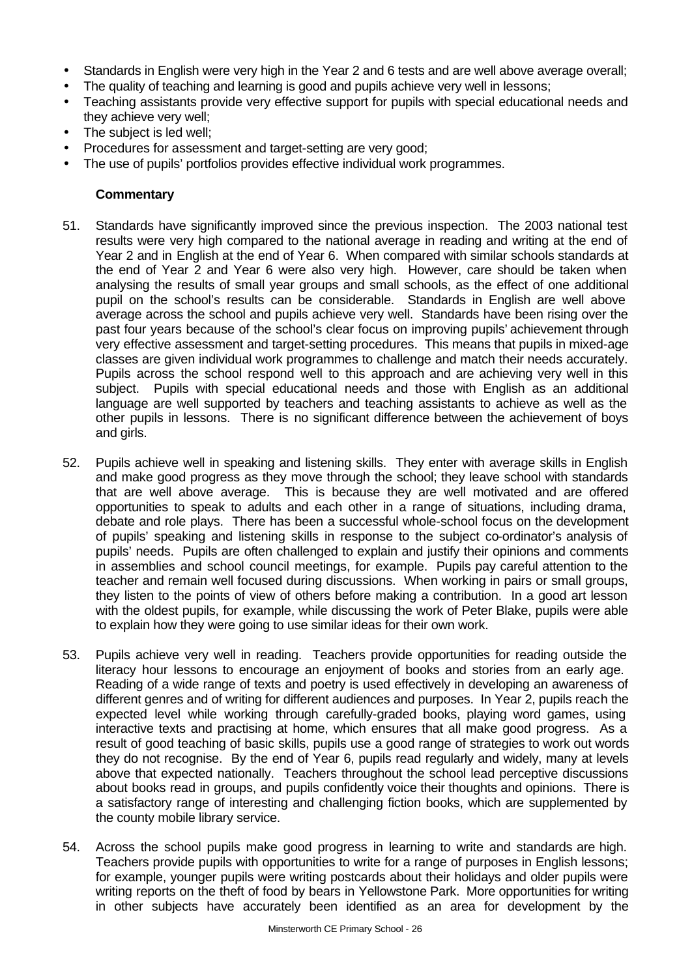- Standards in English were very high in the Year 2 and 6 tests and are well above average overall;
- The quality of teaching and learning is good and pupils achieve very well in lessons;
- Teaching assistants provide very effective support for pupils with special educational needs and they achieve very well;
- The subject is led well;
- Procedures for assessment and target-setting are very good;
- The use of pupils' portfolios provides effective individual work programmes.

## **Commentary**

- 51. Standards have significantly improved since the previous inspection. The 2003 national test results were very high compared to the national average in reading and writing at the end of Year 2 and in English at the end of Year 6. When compared with similar schools standards at the end of Year 2 and Year 6 were also very high. However, care should be taken when analysing the results of small year groups and small schools, as the effect of one additional pupil on the school's results can be considerable. Standards in English are well above average across the school and pupils achieve very well. Standards have been rising over the past four years because of the school's clear focus on improving pupils' achievement through very effective assessment and target-setting procedures. This means that pupils in mixed-age classes are given individual work programmes to challenge and match their needs accurately. Pupils across the school respond well to this approach and are achieving very well in this subject. Pupils with special educational needs and those with English as an additional language are well supported by teachers and teaching assistants to achieve as well as the other pupils in lessons. There is no significant difference between the achievement of boys and girls.
- 52. Pupils achieve well in speaking and listening skills. They enter with average skills in English and make good progress as they move through the school; they leave school with standards that are well above average. This is because they are well motivated and are offered opportunities to speak to adults and each other in a range of situations, including drama, debate and role plays. There has been a successful whole-school focus on the development of pupils' speaking and listening skills in response to the subject co-ordinator's analysis of pupils' needs. Pupils are often challenged to explain and justify their opinions and comments in assemblies and school council meetings, for example. Pupils pay careful attention to the teacher and remain well focused during discussions. When working in pairs or small groups, they listen to the points of view of others before making a contribution. In a good art lesson with the oldest pupils, for example, while discussing the work of Peter Blake, pupils were able to explain how they were going to use similar ideas for their own work.
- 53. Pupils achieve very well in reading. Teachers provide opportunities for reading outside the literacy hour lessons to encourage an enjoyment of books and stories from an early age. Reading of a wide range of texts and poetry is used effectively in developing an awareness of different genres and of writing for different audiences and purposes. In Year 2, pupils reach the expected level while working through carefully-graded books, playing word games, using interactive texts and practising at home, which ensures that all make good progress. As a result of good teaching of basic skills, pupils use a good range of strategies to work out words they do not recognise. By the end of Year 6, pupils read regularly and widely, many at levels above that expected nationally. Teachers throughout the school lead perceptive discussions about books read in groups, and pupils confidently voice their thoughts and opinions. There is a satisfactory range of interesting and challenging fiction books, which are supplemented by the county mobile library service.
- 54. Across the school pupils make good progress in learning to write and standards are high. Teachers provide pupils with opportunities to write for a range of purposes in English lessons; for example, younger pupils were writing postcards about their holidays and older pupils were writing reports on the theft of food by bears in Yellowstone Park. More opportunities for writing in other subjects have accurately been identified as an area for development by the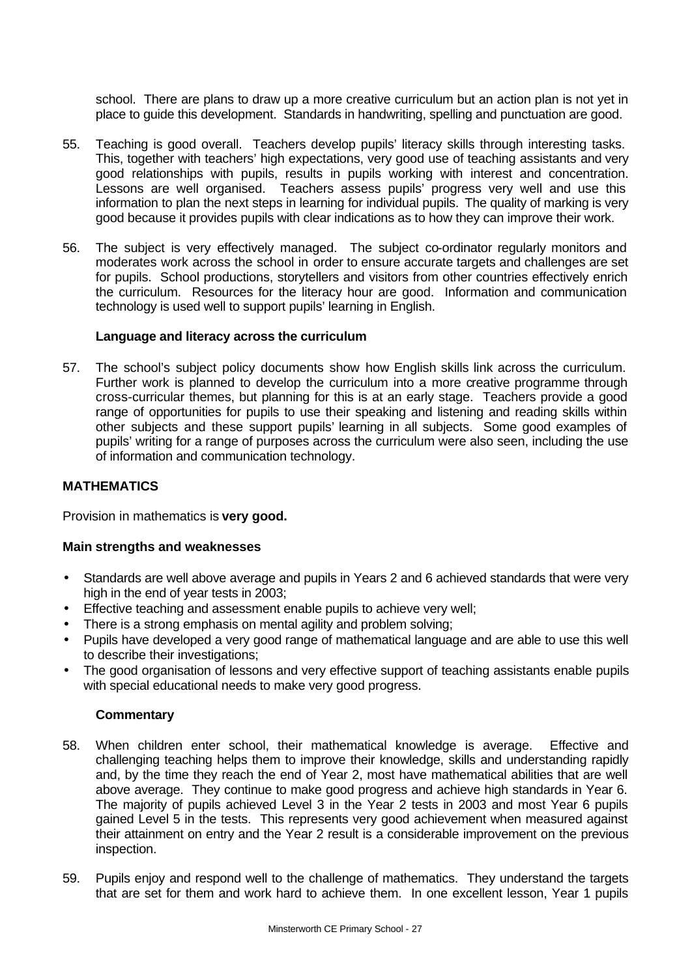school. There are plans to draw up a more creative curriculum but an action plan is not yet in place to guide this development. Standards in handwriting, spelling and punctuation are good.

- 55. Teaching is good overall. Teachers develop pupils' literacy skills through interesting tasks. This, together with teachers' high expectations, very good use of teaching assistants and very good relationships with pupils, results in pupils working with interest and concentration. Lessons are well organised. Teachers assess pupils' progress very well and use this information to plan the next steps in learning for individual pupils. The quality of marking is very good because it provides pupils with clear indications as to how they can improve their work.
- 56. The subject is very effectively managed. The subject co-ordinator regularly monitors and moderates work across the school in order to ensure accurate targets and challenges are set for pupils. School productions, storytellers and visitors from other countries effectively enrich the curriculum. Resources for the literacy hour are good. Information and communication technology is used well to support pupils' learning in English.

#### **Language and literacy across the curriculum**

57. The school's subject policy documents show how English skills link across the curriculum. Further work is planned to develop the curriculum into a more creative programme through cross-curricular themes, but planning for this is at an early stage. Teachers provide a good range of opportunities for pupils to use their speaking and listening and reading skills within other subjects and these support pupils' learning in all subjects. Some good examples of pupils' writing for a range of purposes across the curriculum were also seen, including the use of information and communication technology.

#### **MATHEMATICS**

Provision in mathematics is **very good.** 

#### **Main strengths and weaknesses**

- Standards are well above average and pupils in Years 2 and 6 achieved standards that were very high in the end of year tests in 2003;
- Effective teaching and assessment enable pupils to achieve very well;
- There is a strong emphasis on mental agility and problem solving;
- Pupils have developed a very good range of mathematical language and are able to use this well to describe their investigations;
- The good organisation of lessons and very effective support of teaching assistants enable pupils with special educational needs to make very good progress.

#### **Commentary**

- 58. When children enter school, their mathematical knowledge is average. Effective and challenging teaching helps them to improve their knowledge, skills and understanding rapidly and, by the time they reach the end of Year 2, most have mathematical abilities that are well above average. They continue to make good progress and achieve high standards in Year 6. The majority of pupils achieved Level 3 in the Year 2 tests in 2003 and most Year 6 pupils gained Level 5 in the tests. This represents very good achievement when measured against their attainment on entry and the Year 2 result is a considerable improvement on the previous inspection.
- 59. Pupils enjoy and respond well to the challenge of mathematics. They understand the targets that are set for them and work hard to achieve them. In one excellent lesson, Year 1 pupils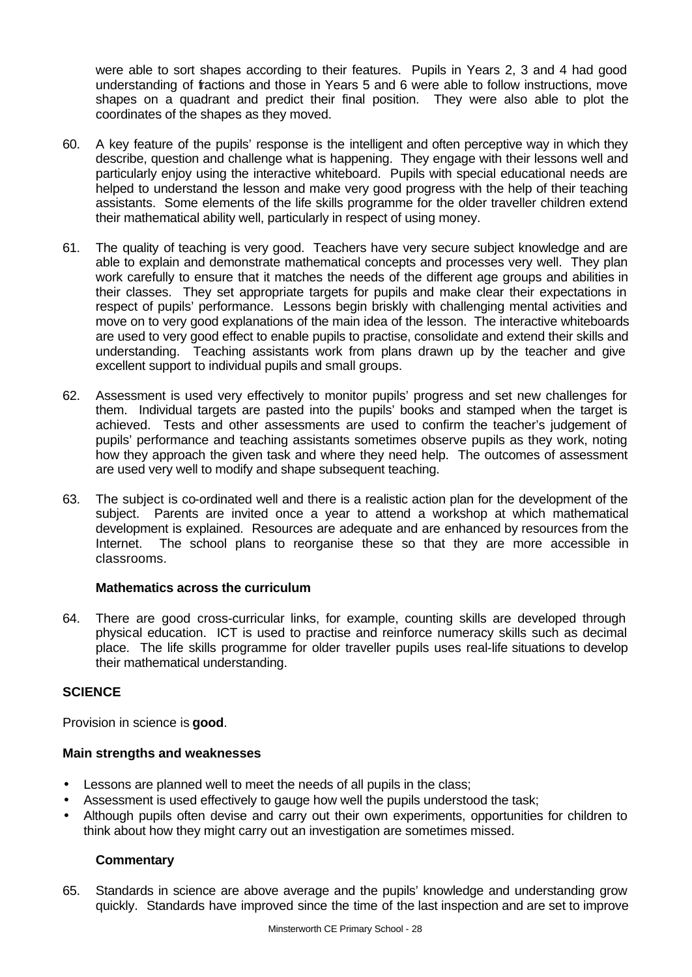were able to sort shapes according to their features. Pupils in Years 2, 3 and 4 had good understanding of fractions and those in Years 5 and 6 were able to follow instructions, move shapes on a quadrant and predict their final position. They were also able to plot the coordinates of the shapes as they moved.

- 60. A key feature of the pupils' response is the intelligent and often perceptive way in which they describe, question and challenge what is happening. They engage with their lessons well and particularly enjoy using the interactive whiteboard. Pupils with special educational needs are helped to understand the lesson and make very good progress with the help of their teaching assistants. Some elements of the life skills programme for the older traveller children extend their mathematical ability well, particularly in respect of using money.
- 61. The quality of teaching is very good. Teachers have very secure subject knowledge and are able to explain and demonstrate mathematical concepts and processes very well. They plan work carefully to ensure that it matches the needs of the different age groups and abilities in their classes. They set appropriate targets for pupils and make clear their expectations in respect of pupils' performance. Lessons begin briskly with challenging mental activities and move on to very good explanations of the main idea of the lesson. The interactive whiteboards are used to very good effect to enable pupils to practise, consolidate and extend their skills and understanding. Teaching assistants work from plans drawn up by the teacher and give excellent support to individual pupils and small groups.
- 62. Assessment is used very effectively to monitor pupils' progress and set new challenges for them. Individual targets are pasted into the pupils' books and stamped when the target is achieved. Tests and other assessments are used to confirm the teacher's judgement of pupils' performance and teaching assistants sometimes observe pupils as they work, noting how they approach the given task and where they need help. The outcomes of assessment are used very well to modify and shape subsequent teaching.
- 63. The subject is co-ordinated well and there is a realistic action plan for the development of the subject. Parents are invited once a year to attend a workshop at which mathematical development is explained. Resources are adequate and are enhanced by resources from the Internet. The school plans to reorganise these so that they are more accessible in classrooms.

## **Mathematics across the curriculum**

64. There are good cross-curricular links, for example, counting skills are developed through physical education. ICT is used to practise and reinforce numeracy skills such as decimal place. The life skills programme for older traveller pupils uses real-life situations to develop their mathematical understanding.

## **SCIENCE**

Provision in science is **good**.

## **Main strengths and weaknesses**

- Lessons are planned well to meet the needs of all pupils in the class;
- Assessment is used effectively to gauge how well the pupils understood the task;
- Although pupils often devise and carry out their own experiments, opportunities for children to think about how they might carry out an investigation are sometimes missed.

## **Commentary**

65. Standards in science are above average and the pupils' knowledge and understanding grow quickly. Standards have improved since the time of the last inspection and are set to improve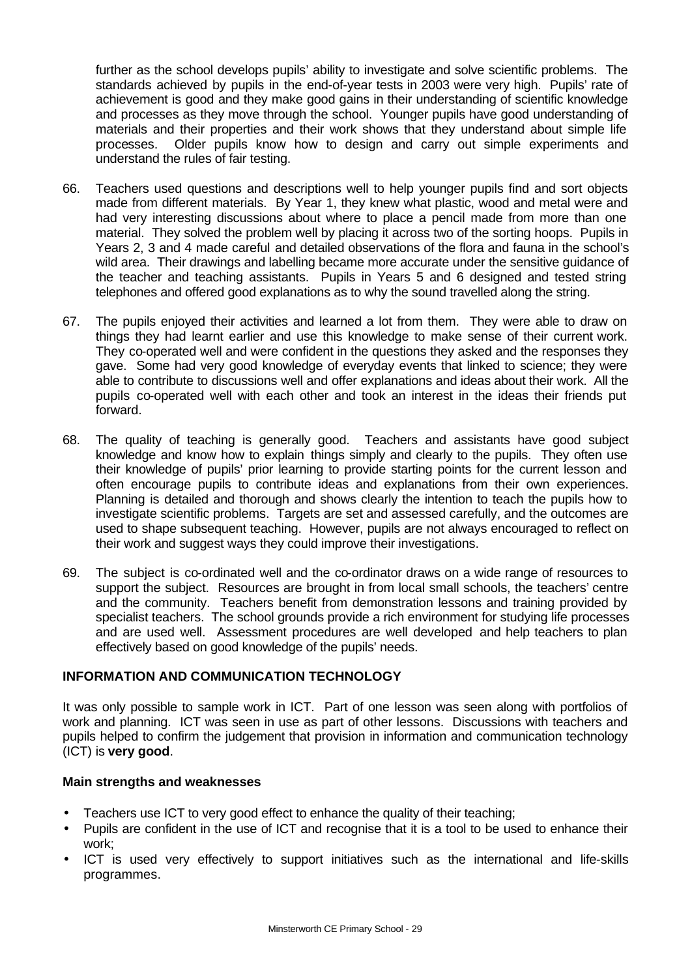further as the school develops pupils' ability to investigate and solve scientific problems. The standards achieved by pupils in the end-of-year tests in 2003 were very high. Pupils' rate of achievement is good and they make good gains in their understanding of scientific knowledge and processes as they move through the school. Younger pupils have good understanding of materials and their properties and their work shows that they understand about simple life processes. Older pupils know how to design and carry out simple experiments and understand the rules of fair testing.

- 66. Teachers used questions and descriptions well to help younger pupils find and sort objects made from different materials. By Year 1, they knew what plastic, wood and metal were and had very interesting discussions about where to place a pencil made from more than one material. They solved the problem well by placing it across two of the sorting hoops. Pupils in Years 2, 3 and 4 made careful and detailed observations of the flora and fauna in the school's wild area. Their drawings and labelling became more accurate under the sensitive guidance of the teacher and teaching assistants. Pupils in Years 5 and 6 designed and tested string telephones and offered good explanations as to why the sound travelled along the string.
- 67. The pupils enjoyed their activities and learned a lot from them. They were able to draw on things they had learnt earlier and use this knowledge to make sense of their current work. They co-operated well and were confident in the questions they asked and the responses they gave. Some had very good knowledge of everyday events that linked to science; they were able to contribute to discussions well and offer explanations and ideas about their work. All the pupils co-operated well with each other and took an interest in the ideas their friends put forward.
- 68. The quality of teaching is generally good. Teachers and assistants have good subject knowledge and know how to explain things simply and clearly to the pupils. They often use their knowledge of pupils' prior learning to provide starting points for the current lesson and often encourage pupils to contribute ideas and explanations from their own experiences. Planning is detailed and thorough and shows clearly the intention to teach the pupils how to investigate scientific problems. Targets are set and assessed carefully, and the outcomes are used to shape subsequent teaching. However, pupils are not always encouraged to reflect on their work and suggest ways they could improve their investigations.
- 69. The subject is co-ordinated well and the co-ordinator draws on a wide range of resources to support the subject. Resources are brought in from local small schools, the teachers' centre and the community. Teachers benefit from demonstration lessons and training provided by specialist teachers. The school grounds provide a rich environment for studying life processes and are used well. Assessment procedures are well developed and help teachers to plan effectively based on good knowledge of the pupils' needs.

## **INFORMATION AND COMMUNICATION TECHNOLOGY**

It was only possible to sample work in ICT. Part of one lesson was seen along with portfolios of work and planning. ICT was seen in use as part of other lessons. Discussions with teachers and pupils helped to confirm the judgement that provision in information and communication technology (ICT) is **very good**.

## **Main strengths and weaknesses**

- Teachers use ICT to very good effect to enhance the quality of their teaching;
- Pupils are confident in the use of ICT and recognise that it is a tool to be used to enhance their work;
- ICT is used very effectively to support initiatives such as the international and life-skills programmes.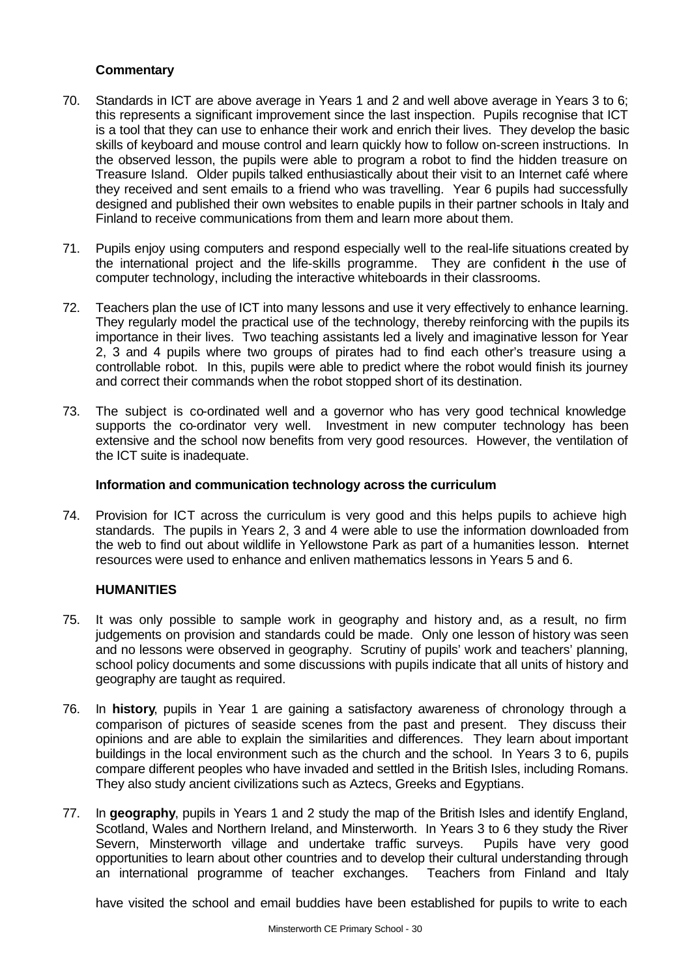## **Commentary**

- 70. Standards in ICT are above average in Years 1 and 2 and well above average in Years 3 to 6; this represents a significant improvement since the last inspection. Pupils recognise that ICT is a tool that they can use to enhance their work and enrich their lives. They develop the basic skills of keyboard and mouse control and learn quickly how to follow on-screen instructions. In the observed lesson, the pupils were able to program a robot to find the hidden treasure on Treasure Island. Older pupils talked enthusiastically about their visit to an Internet café where they received and sent emails to a friend who was travelling. Year 6 pupils had successfully designed and published their own websites to enable pupils in their partner schools in Italy and Finland to receive communications from them and learn more about them.
- 71. Pupils enjoy using computers and respond especially well to the real-life situations created by the international project and the life-skills programme. They are confident in the use of computer technology, including the interactive whiteboards in their classrooms.
- 72. Teachers plan the use of ICT into many lessons and use it very effectively to enhance learning. They regularly model the practical use of the technology, thereby reinforcing with the pupils its importance in their lives. Two teaching assistants led a lively and imaginative lesson for Year 2, 3 and 4 pupils where two groups of pirates had to find each other's treasure using a controllable robot. In this, pupils were able to predict where the robot would finish its journey and correct their commands when the robot stopped short of its destination.
- 73. The subject is co-ordinated well and a governor who has very good technical knowledge supports the co-ordinator very well. Investment in new computer technology has been extensive and the school now benefits from very good resources. However, the ventilation of the ICT suite is inadequate.

#### **Information and communication technology across the curriculum**

74. Provision for ICT across the curriculum is very good and this helps pupils to achieve high standards. The pupils in Years 2, 3 and 4 were able to use the information downloaded from the web to find out about wildlife in Yellowstone Park as part of a humanities lesson. Internet resources were used to enhance and enliven mathematics lessons in Years 5 and 6.

## **HUMANITIES**

- 75. It was only possible to sample work in geography and history and, as a result, no firm judgements on provision and standards could be made. Only one lesson of history was seen and no lessons were observed in geography. Scrutiny of pupils' work and teachers' planning, school policy documents and some discussions with pupils indicate that all units of history and geography are taught as required.
- 76. In **history**, pupils in Year 1 are gaining a satisfactory awareness of chronology through a comparison of pictures of seaside scenes from the past and present. They discuss their opinions and are able to explain the similarities and differences. They learn about important buildings in the local environment such as the church and the school. In Years 3 to 6, pupils compare different peoples who have invaded and settled in the British Isles, including Romans. They also study ancient civilizations such as Aztecs, Greeks and Egyptians.
- 77. In **geography**, pupils in Years 1 and 2 study the map of the British Isles and identify England, Scotland, Wales and Northern Ireland, and Minsterworth. In Years 3 to 6 they study the River Severn, Minsterworth village and undertake traffic surveys. Pupils have very good opportunities to learn about other countries and to develop their cultural understanding through an international programme of teacher exchanges. Teachers from Finland and Italy

have visited the school and email buddies have been established for pupils to write to each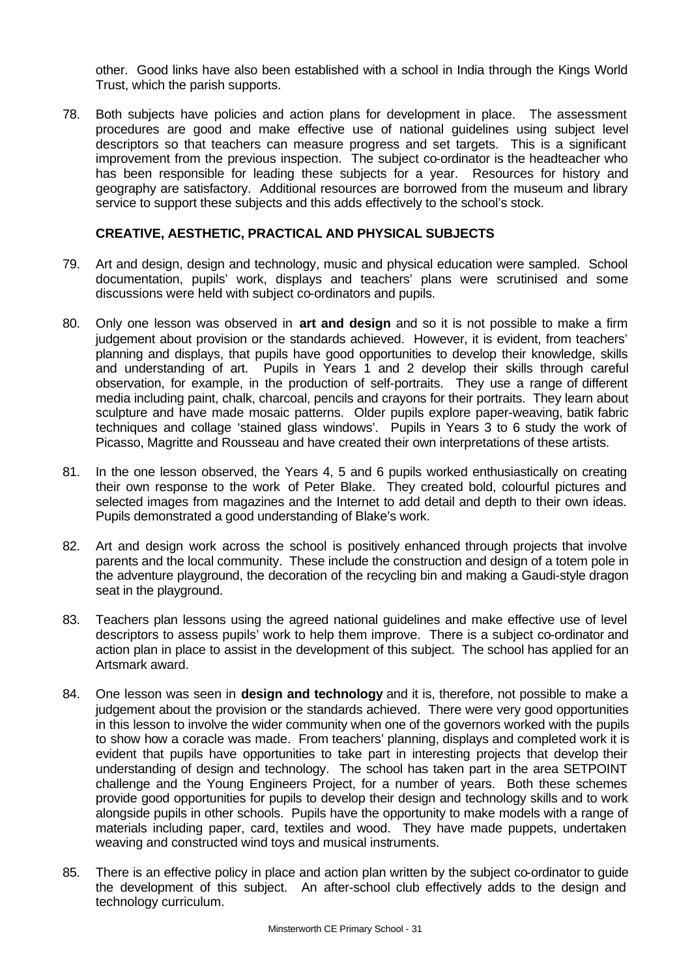other. Good links have also been established with a school in India through the Kings World Trust, which the parish supports.

78. Both subjects have policies and action plans for development in place. The assessment procedures are good and make effective use of national guidelines using subject level descriptors so that teachers can measure progress and set targets. This is a significant improvement from the previous inspection. The subject co-ordinator is the headteacher who has been responsible for leading these subjects for a year. Resources for history and geography are satisfactory. Additional resources are borrowed from the museum and library service to support these subjects and this adds effectively to the school's stock.

#### **CREATIVE, AESTHETIC, PRACTICAL AND PHYSICAL SUBJECTS**

- 79. Art and design, design and technology, music and physical education were sampled. School documentation, pupils' work, displays and teachers' plans were scrutinised and some discussions were held with subject co-ordinators and pupils.
- 80. Only one lesson was observed in **art and design** and so it is not possible to make a firm judgement about provision or the standards achieved. However, it is evident, from teachers' planning and displays, that pupils have good opportunities to develop their knowledge, skills and understanding of art. Pupils in Years 1 and 2 develop their skills through careful observation, for example, in the production of self-portraits. They use a range of different media including paint, chalk, charcoal, pencils and crayons for their portraits. They learn about sculpture and have made mosaic patterns. Older pupils explore paper-weaving, batik fabric techniques and collage 'stained glass windows'. Pupils in Years 3 to 6 study the work of Picasso, Magritte and Rousseau and have created their own interpretations of these artists.
- 81. In the one lesson observed, the Years 4, 5 and 6 pupils worked enthusiastically on creating their own response to the work of Peter Blake. They created bold, colourful pictures and selected images from magazines and the Internet to add detail and depth to their own ideas. Pupils demonstrated a good understanding of Blake's work.
- 82. Art and design work across the school is positively enhanced through projects that involve parents and the local community. These include the construction and design of a totem pole in the adventure playground, the decoration of the recycling bin and making a Gaudi-style dragon seat in the playground.
- 83. Teachers plan lessons using the agreed national guidelines and make effective use of level descriptors to assess pupils' work to help them improve. There is a subject co-ordinator and action plan in place to assist in the development of this subject. The school has applied for an Artsmark award.
- 84. One lesson was seen in **design and technology** and it is, therefore, not possible to make a judgement about the provision or the standards achieved. There were very good opportunities in this lesson to involve the wider community when one of the governors worked with the pupils to show how a coracle was made. From teachers' planning, displays and completed work it is evident that pupils have opportunities to take part in interesting projects that develop their understanding of design and technology. The school has taken part in the area SETPOINT challenge and the Young Engineers Project, for a number of years. Both these schemes provide good opportunities for pupils to develop their design and technology skills and to work alongside pupils in other schools. Pupils have the opportunity to make models with a range of materials including paper, card, textiles and wood. They have made puppets, undertaken weaving and constructed wind toys and musical instruments.
- 85. There is an effective policy in place and action plan written by the subject co-ordinator to guide the development of this subject. An after-school club effectively adds to the design and technology curriculum.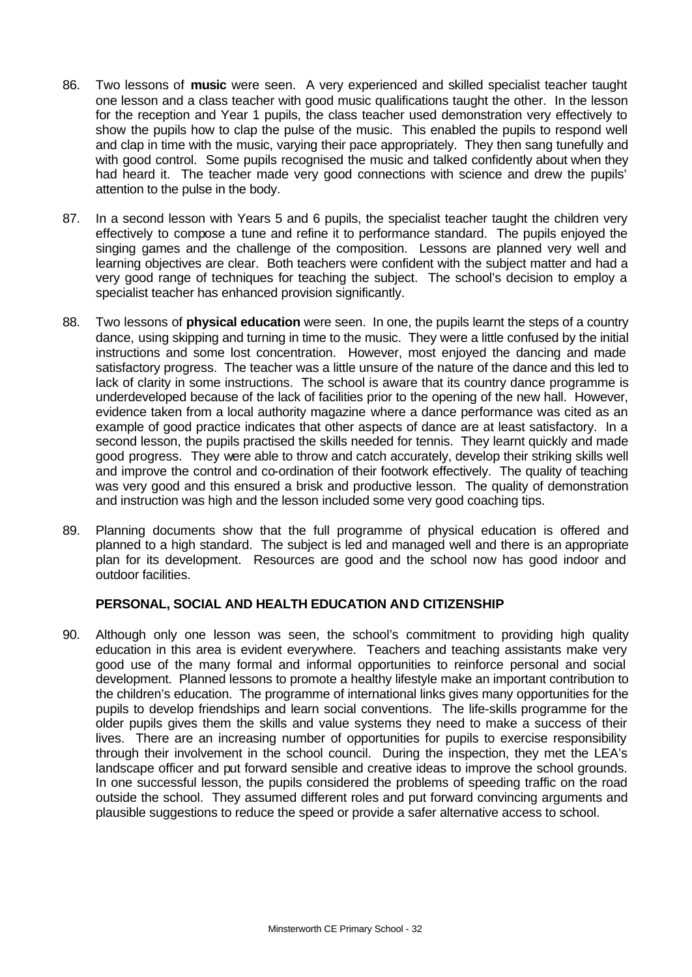- 86. Two lessons of **music** were seen. A very experienced and skilled specialist teacher taught one lesson and a class teacher with good music qualifications taught the other. In the lesson for the reception and Year 1 pupils, the class teacher used demonstration very effectively to show the pupils how to clap the pulse of the music. This enabled the pupils to respond well and clap in time with the music, varying their pace appropriately. They then sang tunefully and with good control. Some pupils recognised the music and talked confidently about when they had heard it. The teacher made very good connections with science and drew the pupils' attention to the pulse in the body.
- 87. In a second lesson with Years 5 and 6 pupils, the specialist teacher taught the children very effectively to compose a tune and refine it to performance standard. The pupils enjoyed the singing games and the challenge of the composition. Lessons are planned very well and learning objectives are clear. Both teachers were confident with the subject matter and had a very good range of techniques for teaching the subject. The school's decision to employ a specialist teacher has enhanced provision significantly.
- 88. Two lessons of **physical education** were seen. In one, the pupils learnt the steps of a country dance, using skipping and turning in time to the music. They were a little confused by the initial instructions and some lost concentration. However, most enjoyed the dancing and made satisfactory progress. The teacher was a little unsure of the nature of the dance and this led to lack of clarity in some instructions. The school is aware that its country dance programme is underdeveloped because of the lack of facilities prior to the opening of the new hall. However, evidence taken from a local authority magazine where a dance performance was cited as an example of good practice indicates that other aspects of dance are at least satisfactory. In a second lesson, the pupils practised the skills needed for tennis. They learnt quickly and made good progress. They were able to throw and catch accurately, develop their striking skills well and improve the control and co-ordination of their footwork effectively. The quality of teaching was very good and this ensured a brisk and productive lesson. The quality of demonstration and instruction was high and the lesson included some very good coaching tips.
- 89. Planning documents show that the full programme of physical education is offered and planned to a high standard. The subject is led and managed well and there is an appropriate plan for its development. Resources are good and the school now has good indoor and outdoor facilities.

## **PERSONAL, SOCIAL AND HEALTH EDUCATION AND CITIZENSHIP**

90. Although only one lesson was seen, the school's commitment to providing high quality education in this area is evident everywhere. Teachers and teaching assistants make very good use of the many formal and informal opportunities to reinforce personal and social development. Planned lessons to promote a healthy lifestyle make an important contribution to the children's education. The programme of international links gives many opportunities for the pupils to develop friendships and learn social conventions. The life-skills programme for the older pupils gives them the skills and value systems they need to make a success of their lives. There are an increasing number of opportunities for pupils to exercise responsibility through their involvement in the school council. During the inspection, they met the LEA's landscape officer and put forward sensible and creative ideas to improve the school grounds. In one successful lesson, the pupils considered the problems of speeding traffic on the road outside the school. They assumed different roles and put forward convincing arguments and plausible suggestions to reduce the speed or provide a safer alternative access to school.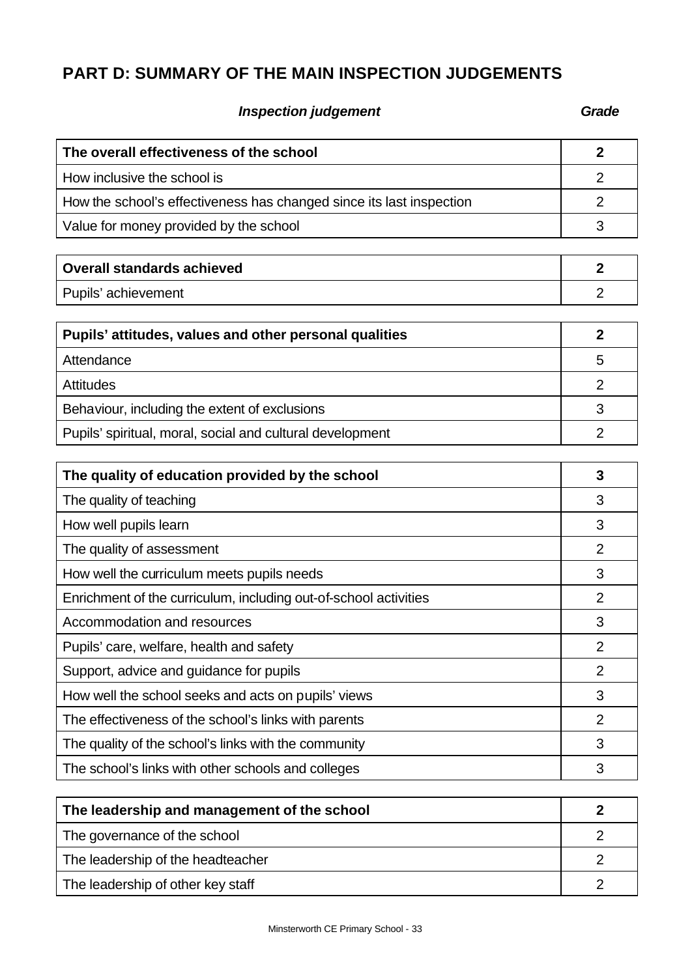# **PART D: SUMMARY OF THE MAIN INSPECTION JUDGEMENTS**

## **Inspection judgement Grade**

| The overall effectiveness of the school                              | $\overline{2}$ |
|----------------------------------------------------------------------|----------------|
| How inclusive the school is                                          | $\overline{2}$ |
| How the school's effectiveness has changed since its last inspection | $\overline{2}$ |
| Value for money provided by the school                               | 3              |
| <b>Overall standards achieved</b>                                    | $\overline{2}$ |
| Pupils' achievement                                                  | $\overline{2}$ |
|                                                                      |                |
| Pupils' attitudes, values and other personal qualities               | $\overline{2}$ |
| Attendance                                                           | 5              |
| <b>Attitudes</b>                                                     | $\overline{2}$ |
| Behaviour, including the extent of exclusions                        | 3              |
| Pupils' spiritual, moral, social and cultural development            | $\overline{2}$ |
|                                                                      |                |
| The quality of education provided by the school                      | 3              |
| The quality of teaching                                              | 3              |
| How well pupils learn                                                | 3              |
| The quality of assessment                                            | $\overline{2}$ |
| How well the curriculum meets pupils needs                           | 3              |

| How well the curriculum meets pupils needs                       | 3 |
|------------------------------------------------------------------|---|
| Enrichment of the curriculum, including out-of-school activities | 2 |
| Accommodation and resources                                      | 3 |
| Pupils' care, welfare, health and safety                         | 2 |
| Support, advice and guidance for pupils                          | 2 |
| How well the school seeks and acts on pupils' views              | 3 |
| The effectiveness of the school's links with parents             | 2 |
| The quality of the school's links with the community             | 3 |
| The school's links with other schools and colleges               |   |

| The leadership and management of the school |  |
|---------------------------------------------|--|
| The governance of the school                |  |
| The leadership of the headteacher           |  |
| The leadership of other key staff           |  |